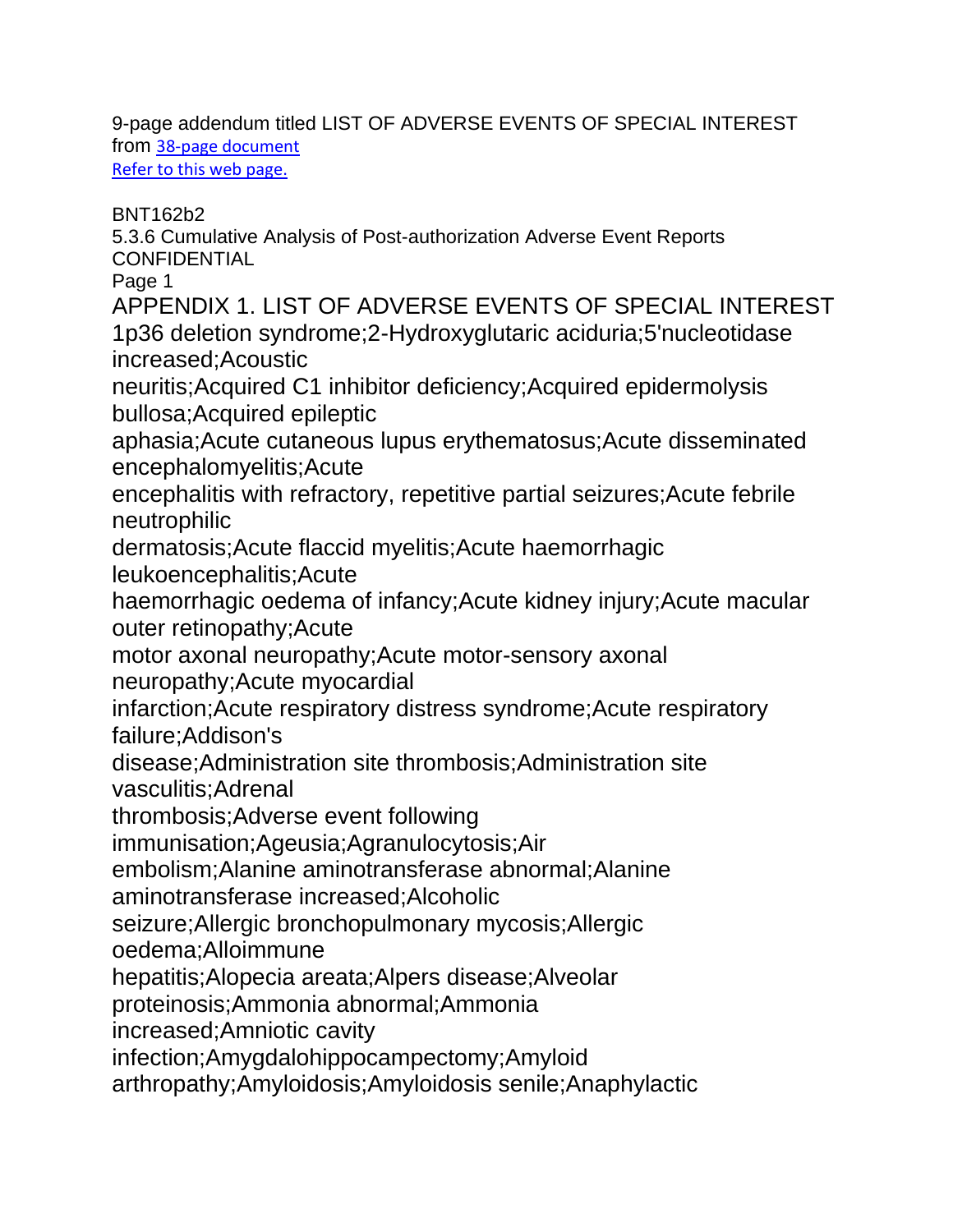9-page addendum titled LIST OF ADVERSE EVENTS OF SPECIAL INTEREST from [38-page document](https://phmpt.org/wp-content/uploads/2021/11/5.3.6-postmarketing-experience.pdf) Refer to [this web page.](https://thetenpennyreport.com/they-all-knew/)

BNT162b2

5.3.6 Cumulative Analysis of Post-authorization Adverse Event Reports **CONFIDENTIAL** 

Page 1

APPENDIX 1. LIST OF ADVERSE EVENTS OF SPECIAL INTEREST 1p36 deletion syndrome;2-Hydroxyglutaric aciduria;5'nucleotidase increased;Acoustic

neuritis;Acquired C1 inhibitor deficiency;Acquired epidermolysis bullosa;Acquired epileptic

aphasia;Acute cutaneous lupus erythematosus;Acute disseminated encephalomyelitis;Acute

encephalitis with refractory, repetitive partial seizures;Acute febrile neutrophilic

dermatosis;Acute flaccid myelitis;Acute haemorrhagic

leukoencephalitis;Acute

haemorrhagic oedema of infancy;Acute kidney injury;Acute macular outer retinopathy;Acute

motor axonal neuropathy;Acute motor-sensory axonal neuropathy;Acute myocardial

infarction;Acute respiratory distress syndrome;Acute respiratory failure;Addison's

disease;Administration site thrombosis;Administration site vasculitis;Adrenal

thrombosis;Adverse event following

immunisation;Ageusia;Agranulocytosis;Air

embolism;Alanine aminotransferase abnormal;Alanine

aminotransferase increased;Alcoholic

seizure;Allergic bronchopulmonary mycosis;Allergic

oedema;Alloimmune

hepatitis;Alopecia areata;Alpers disease;Alveolar

proteinosis;Ammonia abnormal;Ammonia

increased;Amniotic cavity

infection;Amygdalohippocampectomy;Amyloid

arthropathy;Amyloidosis;Amyloidosis senile;Anaphylactic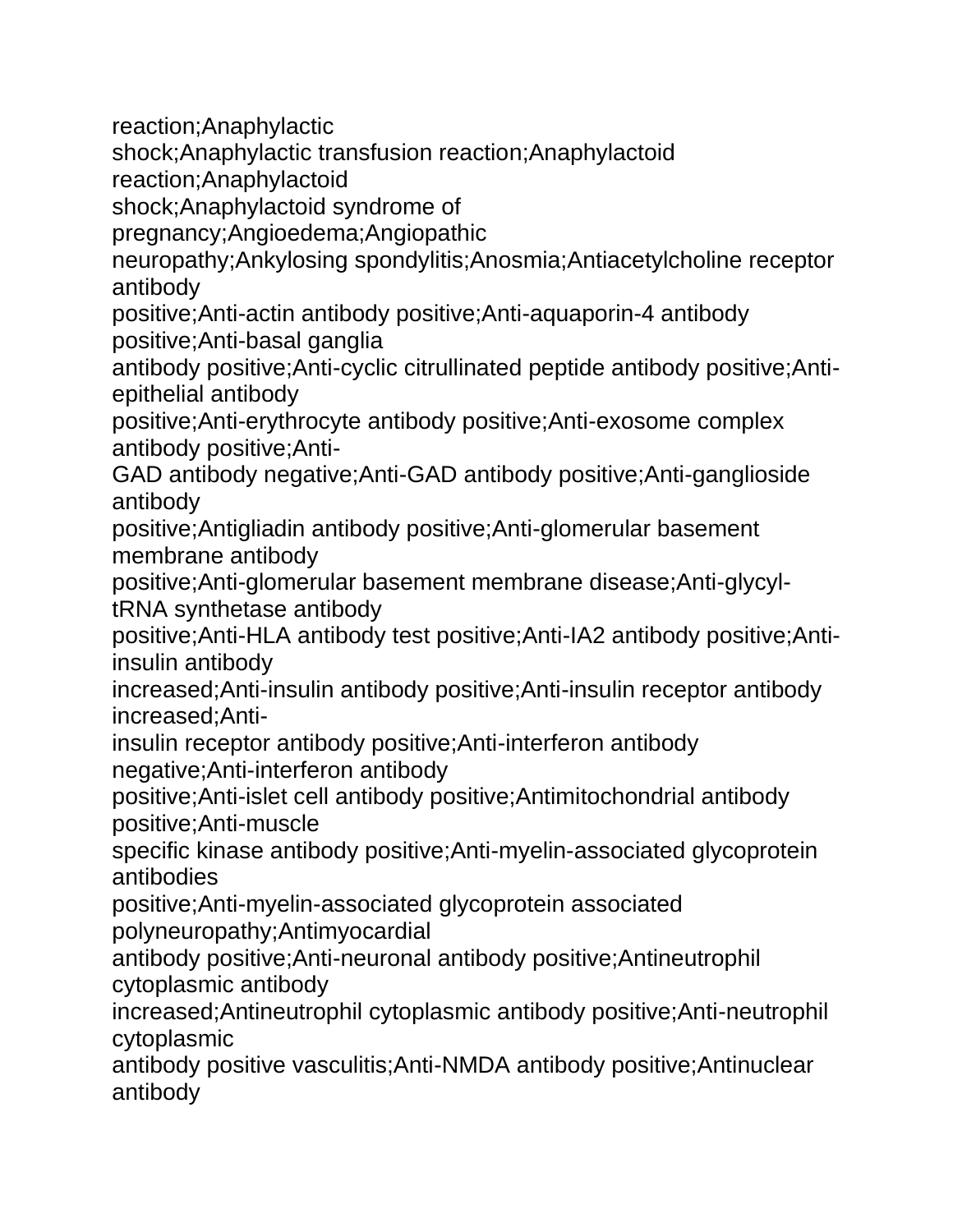reaction;Anaphylactic

shock;Anaphylactic transfusion reaction;Anaphylactoid

reaction;Anaphylactoid

shock;Anaphylactoid syndrome of

pregnancy;Angioedema;Angiopathic

neuropathy;Ankylosing spondylitis;Anosmia;Antiacetylcholine receptor antibody

positive;Anti-actin antibody positive;Anti-aquaporin-4 antibody positive;Anti-basal ganglia

antibody positive;Anti-cyclic citrullinated peptide antibody positive;Antiepithelial antibody

positive;Anti-erythrocyte antibody positive;Anti-exosome complex antibody positive;Anti-

GAD antibody negative;Anti-GAD antibody positive;Anti-ganglioside antibody

positive;Antigliadin antibody positive;Anti-glomerular basement membrane antibody

positive;Anti-glomerular basement membrane disease;Anti-glycyltRNA synthetase antibody

positive;Anti-HLA antibody test positive;Anti-IA2 antibody positive;Antiinsulin antibody

increased;Anti-insulin antibody positive;Anti-insulin receptor antibody increased;Anti-

insulin receptor antibody positive;Anti-interferon antibody negative;Anti-interferon antibody

positive;Anti-islet cell antibody positive;Antimitochondrial antibody positive;Anti-muscle

specific kinase antibody positive;Anti-myelin-associated glycoprotein antibodies

positive;Anti-myelin-associated glycoprotein associated polyneuropathy;Antimyocardial

antibody positive;Anti-neuronal antibody positive;Antineutrophil cytoplasmic antibody

increased;Antineutrophil cytoplasmic antibody positive;Anti-neutrophil cytoplasmic

antibody positive vasculitis;Anti-NMDA antibody positive;Antinuclear antibody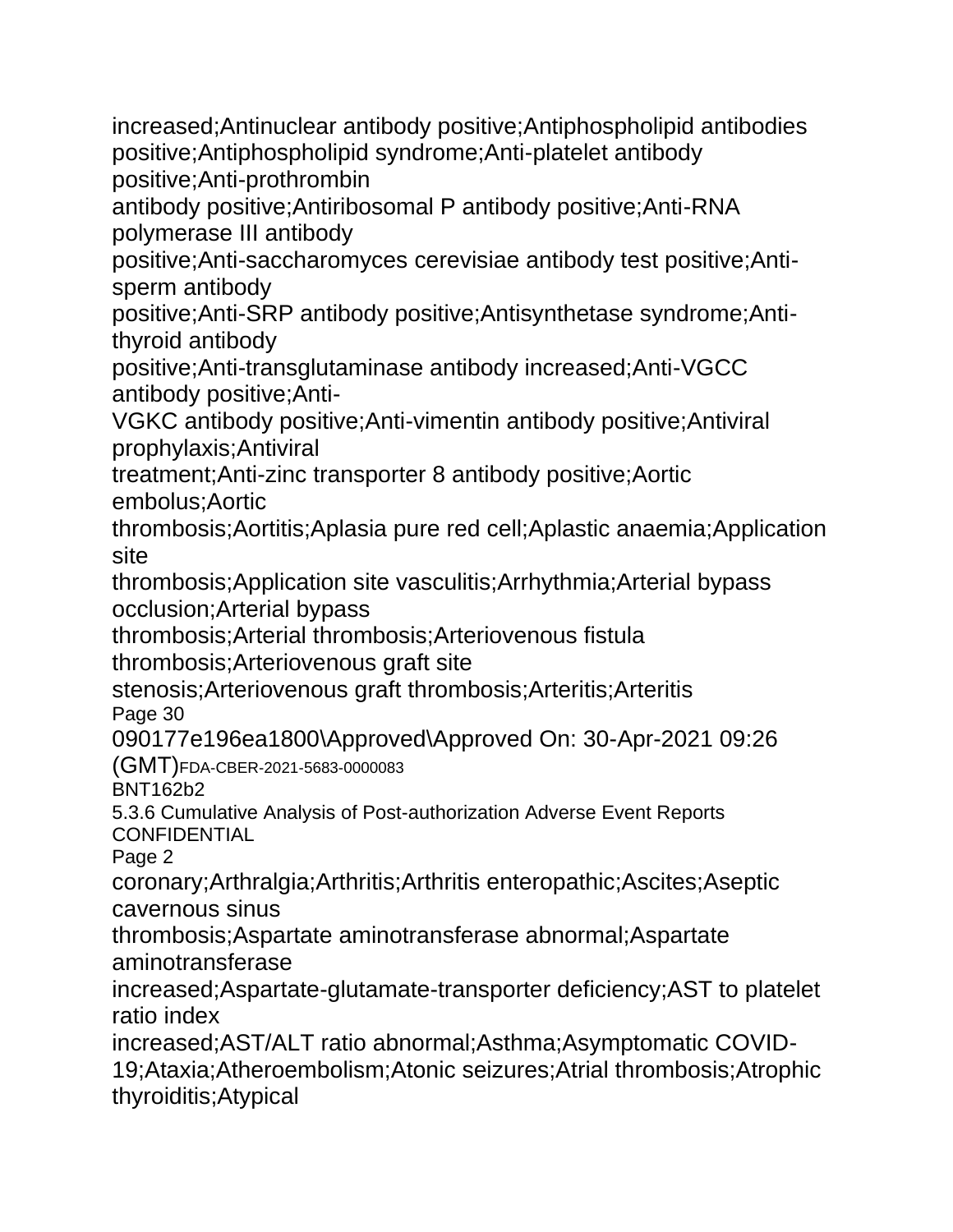increased;Antinuclear antibody positive;Antiphospholipid antibodies positive;Antiphospholipid syndrome;Anti-platelet antibody positive;Anti-prothrombin

antibody positive;Antiribosomal P antibody positive;Anti-RNA polymerase III antibody

positive;Anti-saccharomyces cerevisiae antibody test positive;Antisperm antibody

positive;Anti-SRP antibody positive;Antisynthetase syndrome;Antithyroid antibody

positive;Anti-transglutaminase antibody increased;Anti-VGCC antibody positive;Anti-

VGKC antibody positive;Anti-vimentin antibody positive;Antiviral prophylaxis;Antiviral

treatment;Anti-zinc transporter 8 antibody positive;Aortic embolus;Aortic

thrombosis;Aortitis;Aplasia pure red cell;Aplastic anaemia;Application site

thrombosis;Application site vasculitis;Arrhythmia;Arterial bypass occlusion;Arterial bypass

thrombosis;Arterial thrombosis;Arteriovenous fistula

thrombosis;Arteriovenous graft site stenosis;Arteriovenous graft thrombosis;Arteritis;Arteritis

Page 30

090177e196ea1800\Approved\Approved On: 30-Apr-2021 09:26

(GMT)FDA-CBER-2021-5683-0000083

BNT162b2

5.3.6 Cumulative Analysis of Post-authorization Adverse Event Reports **CONFIDENTIAL** 

Page 2

coronary;Arthralgia;Arthritis;Arthritis enteropathic;Ascites;Aseptic cavernous sinus

thrombosis;Aspartate aminotransferase abnormal;Aspartate aminotransferase

increased;Aspartate-glutamate-transporter deficiency;AST to platelet ratio index

increased;AST/ALT ratio abnormal;Asthma;Asymptomatic COVID-19;Ataxia;Atheroembolism;Atonic seizures;Atrial thrombosis;Atrophic thyroiditis;Atypical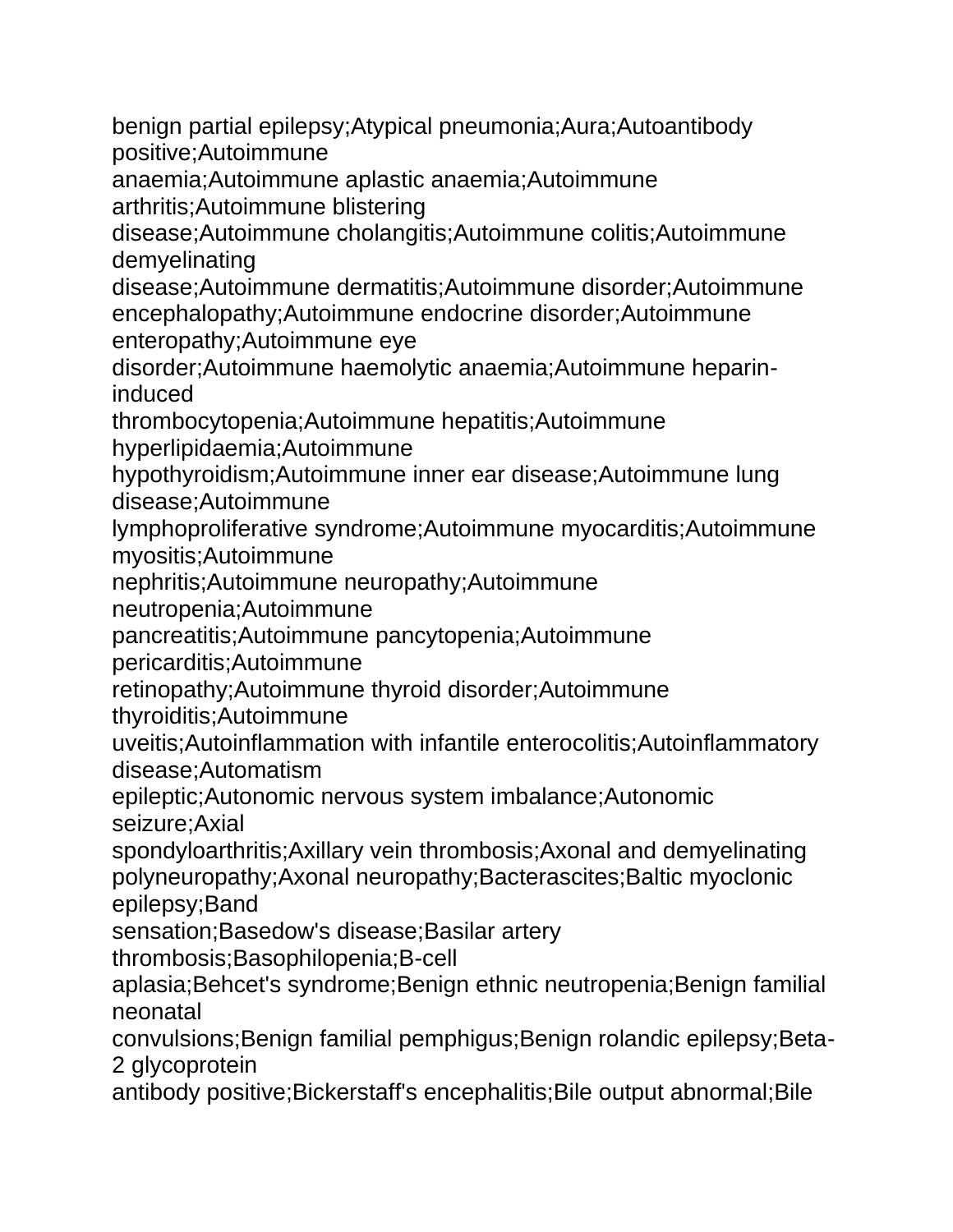benign partial epilepsy;Atypical pneumonia;Aura;Autoantibody positive;Autoimmune

anaemia;Autoimmune aplastic anaemia;Autoimmune arthritis;Autoimmune blistering

disease;Autoimmune cholangitis;Autoimmune colitis;Autoimmune demyelinating

disease;Autoimmune dermatitis;Autoimmune disorder;Autoimmune encephalopathy;Autoimmune endocrine disorder;Autoimmune enteropathy;Autoimmune eye

disorder;Autoimmune haemolytic anaemia;Autoimmune heparininduced

thrombocytopenia;Autoimmune hepatitis;Autoimmune

hyperlipidaemia;Autoimmune

hypothyroidism;Autoimmune inner ear disease;Autoimmune lung disease;Autoimmune

lymphoproliferative syndrome;Autoimmune myocarditis;Autoimmune myositis;Autoimmune

nephritis;Autoimmune neuropathy;Autoimmune

neutropenia;Autoimmune

pancreatitis;Autoimmune pancytopenia;Autoimmune

pericarditis;Autoimmune

retinopathy;Autoimmune thyroid disorder;Autoimmune

thyroiditis;Autoimmune

uveitis;Autoinflammation with infantile enterocolitis;Autoinflammatory disease;Automatism

epileptic;Autonomic nervous system imbalance;Autonomic seizure;Axial

spondyloarthritis;Axillary vein thrombosis;Axonal and demyelinating polyneuropathy;Axonal neuropathy;Bacterascites;Baltic myoclonic epilepsy;Band

sensation;Basedow's disease;Basilar artery

thrombosis;Basophilopenia;B-cell

aplasia;Behcet's syndrome;Benign ethnic neutropenia;Benign familial neonatal

convulsions;Benign familial pemphigus;Benign rolandic epilepsy;Beta-2 glycoprotein

antibody positive;Bickerstaff's encephalitis;Bile output abnormal;Bile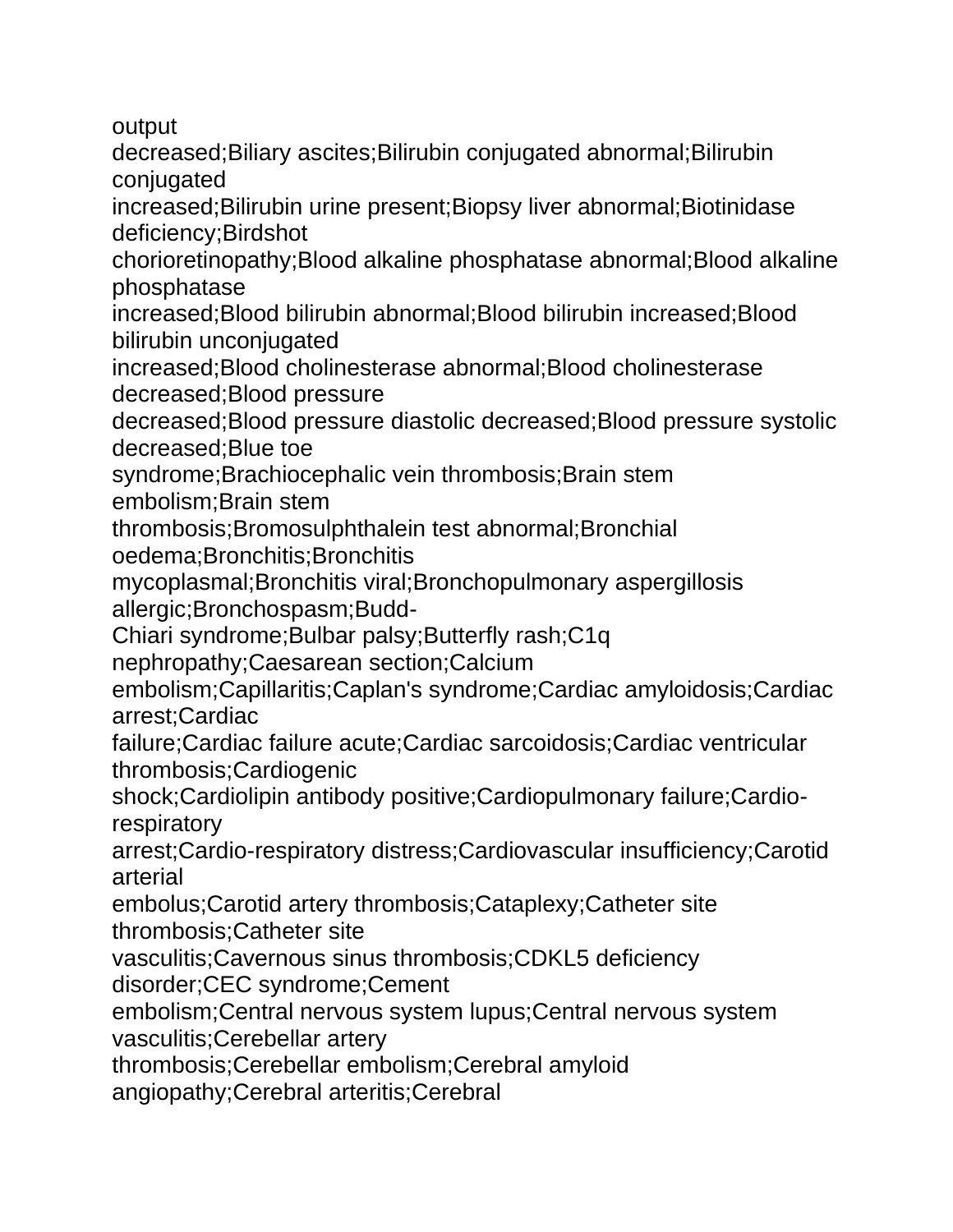output

decreased;Biliary ascites;Bilirubin conjugated abnormal;Bilirubin conjugated

increased;Bilirubin urine present;Biopsy liver abnormal;Biotinidase deficiency;Birdshot

chorioretinopathy;Blood alkaline phosphatase abnormal;Blood alkaline phosphatase

increased;Blood bilirubin abnormal;Blood bilirubin increased;Blood bilirubin unconjugated

increased;Blood cholinesterase abnormal;Blood cholinesterase decreased;Blood pressure

decreased;Blood pressure diastolic decreased;Blood pressure systolic decreased;Blue toe

syndrome;Brachiocephalic vein thrombosis;Brain stem

embolism;Brain stem

thrombosis;Bromosulphthalein test abnormal;Bronchial oedema;Bronchitis;Bronchitis

mycoplasmal;Bronchitis viral;Bronchopulmonary aspergillosis allergic;Bronchospasm;Budd-

Chiari syndrome;Bulbar palsy;Butterfly rash;C1q

nephropathy;Caesarean section;Calcium

embolism;Capillaritis;Caplan's syndrome;Cardiac amyloidosis;Cardiac arrest;Cardiac

failure;Cardiac failure acute;Cardiac sarcoidosis;Cardiac ventricular thrombosis;Cardiogenic

shock;Cardiolipin antibody positive;Cardiopulmonary failure;Cardiorespiratory

arrest;Cardio-respiratory distress;Cardiovascular insufficiency;Carotid arterial

embolus;Carotid artery thrombosis;Cataplexy;Catheter site thrombosis;Catheter site

vasculitis;Cavernous sinus thrombosis;CDKL5 deficiency

disorder;CEC syndrome;Cement

embolism;Central nervous system lupus;Central nervous system

vasculitis;Cerebellar artery

thrombosis;Cerebellar embolism;Cerebral amyloid

angiopathy;Cerebral arteritis;Cerebral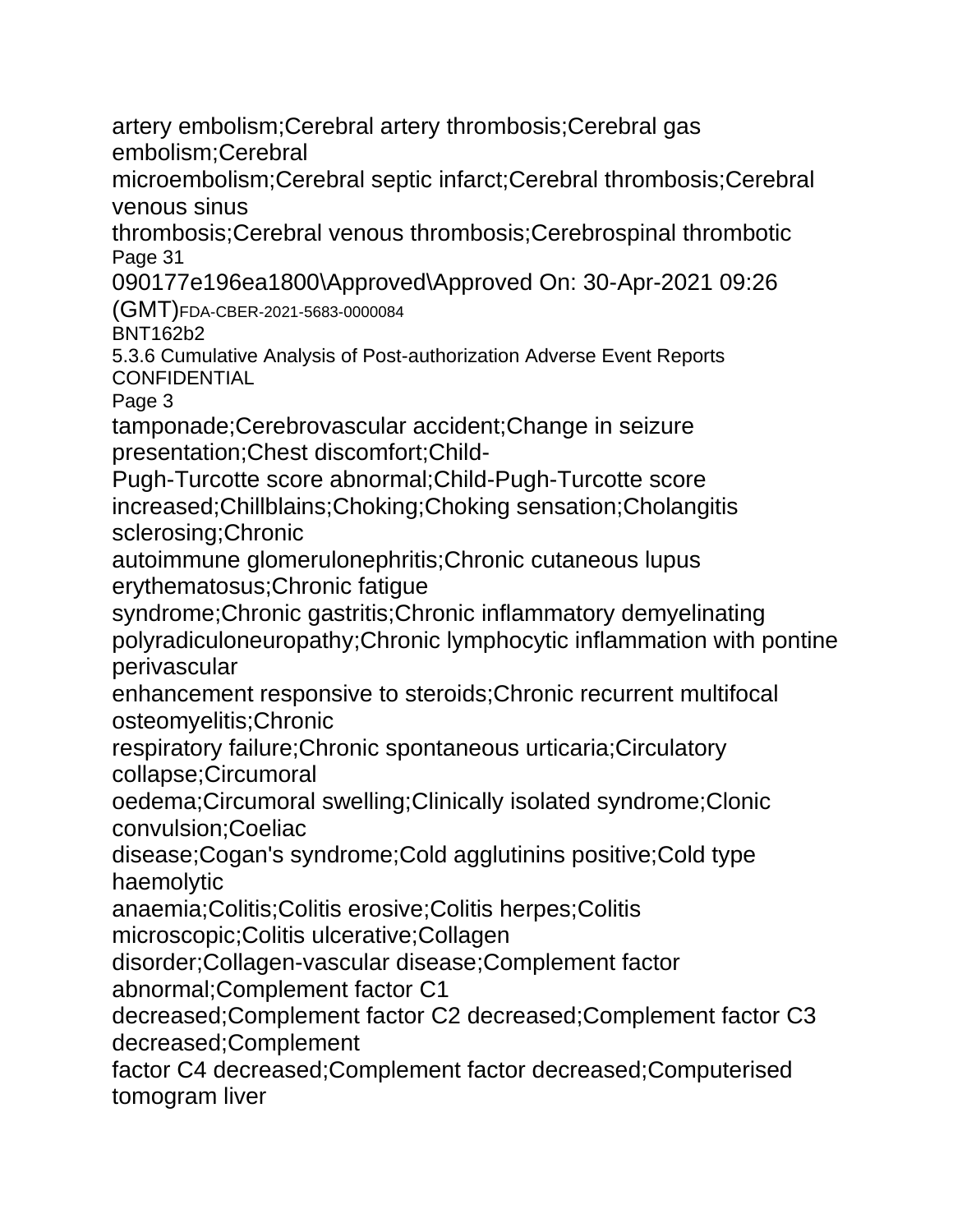artery embolism;Cerebral artery thrombosis;Cerebral gas embolism;Cerebral

microembolism;Cerebral septic infarct;Cerebral thrombosis;Cerebral venous sinus

thrombosis;Cerebral venous thrombosis;Cerebrospinal thrombotic Page 31

090177e196ea1800\Approved\Approved On: 30-Apr-2021 09:26 (GMT)FDA-CBER-2021-5683-0000084

BNT162b2

5.3.6 Cumulative Analysis of Post-authorization Adverse Event Reports **CONFIDENTIAL** 

Page 3

tamponade;Cerebrovascular accident;Change in seizure presentation;Chest discomfort;Child-

Pugh-Turcotte score abnormal;Child-Pugh-Turcotte score increased;Chillblains;Choking;Choking sensation;Cholangitis sclerosing;Chronic

autoimmune glomerulonephritis;Chronic cutaneous lupus erythematosus;Chronic fatigue

syndrome;Chronic gastritis;Chronic inflammatory demyelinating polyradiculoneuropathy;Chronic lymphocytic inflammation with pontine perivascular

enhancement responsive to steroids;Chronic recurrent multifocal osteomyelitis;Chronic

respiratory failure;Chronic spontaneous urticaria;Circulatory collapse;Circumoral

oedema;Circumoral swelling;Clinically isolated syndrome;Clonic convulsion;Coeliac

disease;Cogan's syndrome;Cold agglutinins positive;Cold type haemolytic

anaemia;Colitis;Colitis erosive;Colitis herpes;Colitis

microscopic;Colitis ulcerative;Collagen

disorder;Collagen-vascular disease;Complement factor

abnormal;Complement factor C1

decreased;Complement factor C2 decreased;Complement factor C3 decreased;Complement

factor C4 decreased;Complement factor decreased;Computerised tomogram liver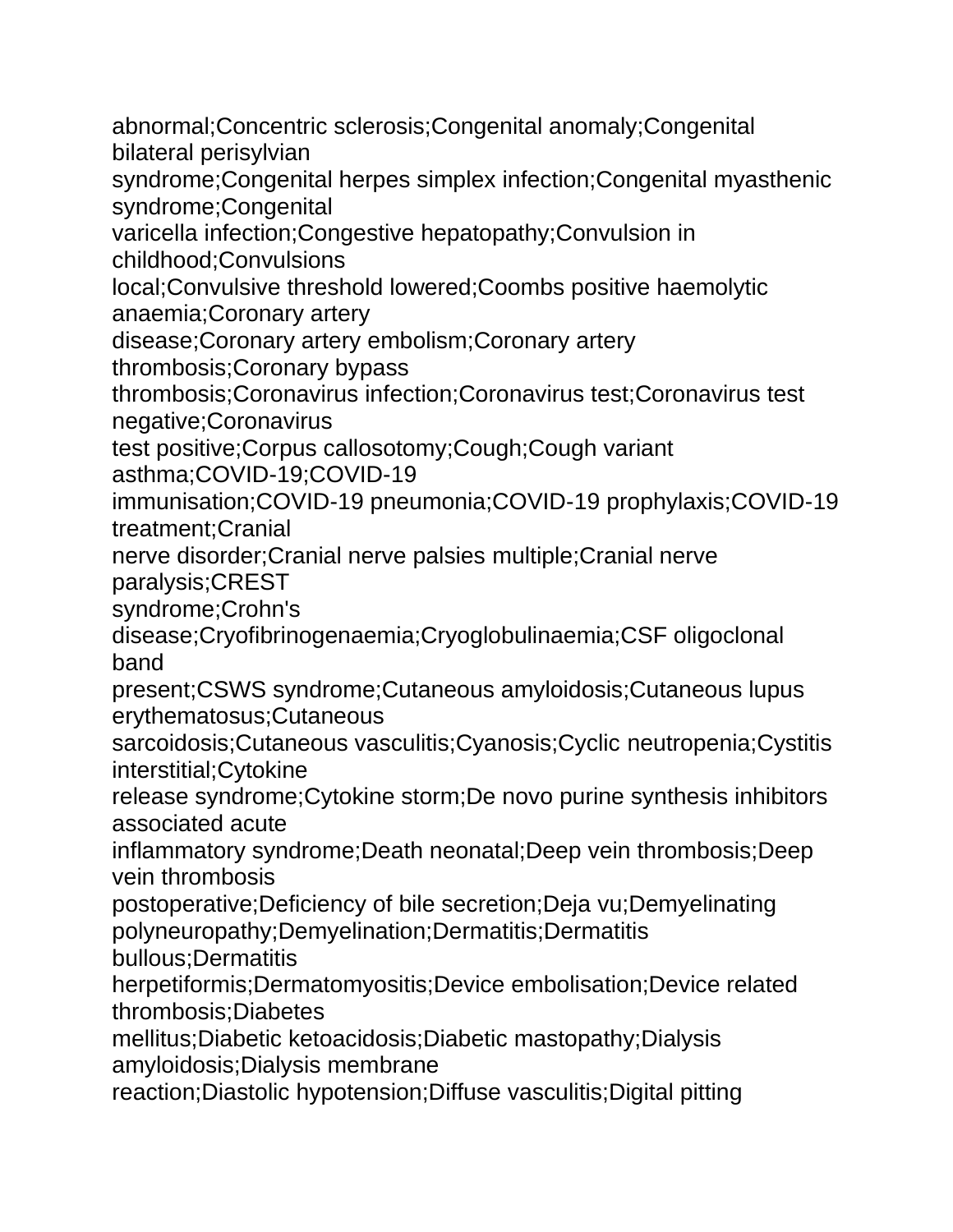abnormal;Concentric sclerosis;Congenital anomaly;Congenital bilateral perisylvian syndrome;Congenital herpes simplex infection;Congenital myasthenic syndrome;Congenital varicella infection;Congestive hepatopathy;Convulsion in childhood;Convulsions local;Convulsive threshold lowered;Coombs positive haemolytic anaemia;Coronary artery disease;Coronary artery embolism;Coronary artery thrombosis;Coronary bypass thrombosis;Coronavirus infection;Coronavirus test;Coronavirus test negative;Coronavirus test positive;Corpus callosotomy;Cough;Cough variant asthma;COVID-19;COVID-19 immunisation;COVID-19 pneumonia;COVID-19 prophylaxis;COVID-19 treatment;Cranial nerve disorder;Cranial nerve palsies multiple;Cranial nerve paralysis;CREST syndrome;Crohn's disease;Cryofibrinogenaemia;Cryoglobulinaemia;CSF oligoclonal band present;CSWS syndrome;Cutaneous amyloidosis;Cutaneous lupus erythematosus;Cutaneous sarcoidosis;Cutaneous vasculitis;Cyanosis;Cyclic neutropenia;Cystitis interstitial;Cytokine release syndrome;Cytokine storm;De novo purine synthesis inhibitors associated acute inflammatory syndrome;Death neonatal;Deep vein thrombosis;Deep vein thrombosis postoperative;Deficiency of bile secretion;Deja vu;Demyelinating polyneuropathy;Demyelination;Dermatitis;Dermatitis bullous;Dermatitis herpetiformis;Dermatomyositis;Device embolisation;Device related thrombosis;Diabetes mellitus;Diabetic ketoacidosis;Diabetic mastopathy;Dialysis amyloidosis;Dialysis membrane reaction;Diastolic hypotension;Diffuse vasculitis;Digital pitting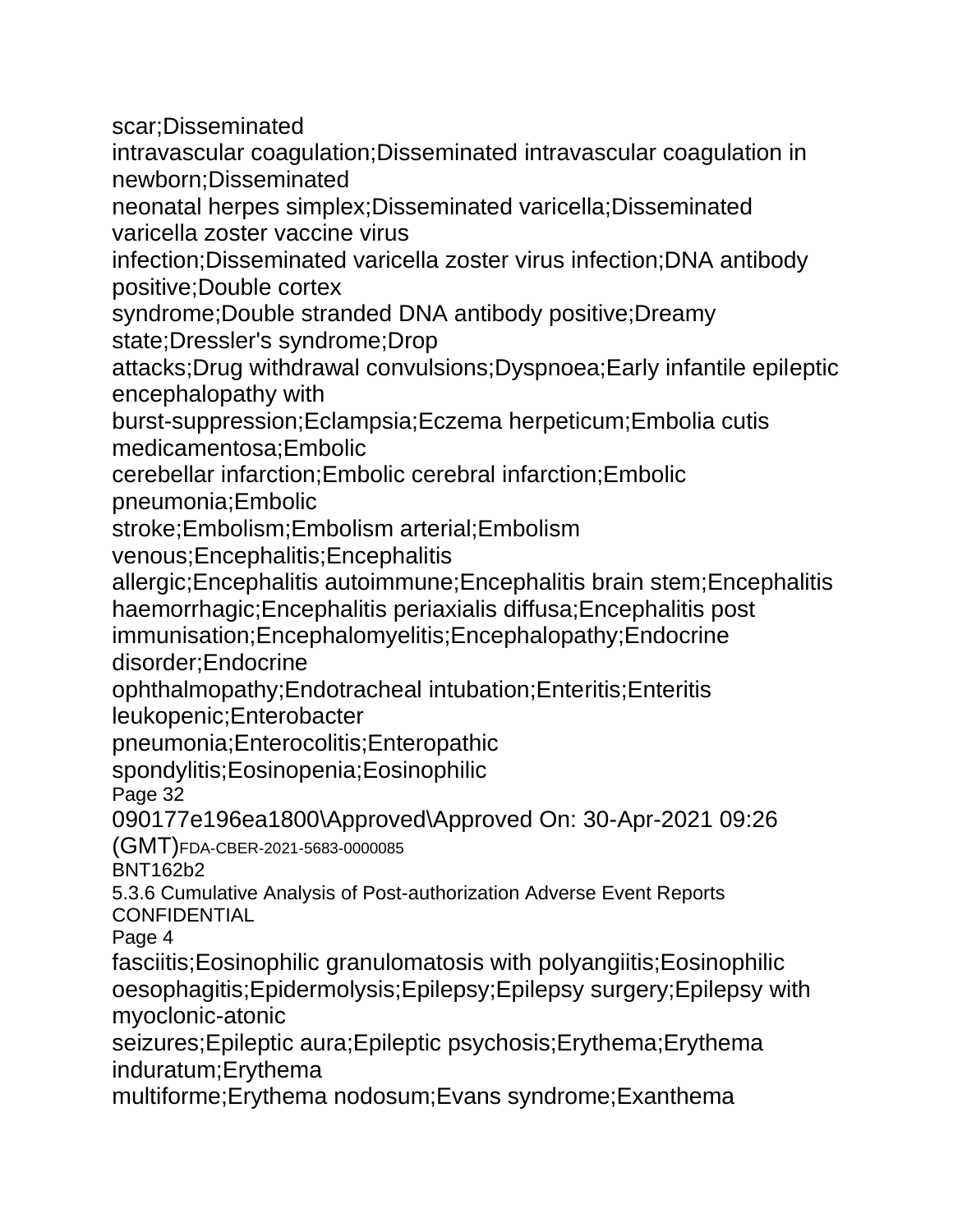scar;Disseminated

intravascular coagulation;Disseminated intravascular coagulation in newborn;Disseminated

neonatal herpes simplex;Disseminated varicella;Disseminated varicella zoster vaccine virus

infection;Disseminated varicella zoster virus infection;DNA antibody positive;Double cortex

syndrome;Double stranded DNA antibody positive;Dreamy state;Dressler's syndrome;Drop

attacks;Drug withdrawal convulsions;Dyspnoea;Early infantile epileptic encephalopathy with

burst-suppression;Eclampsia;Eczema herpeticum;Embolia cutis medicamentosa;Embolic

cerebellar infarction;Embolic cerebral infarction;Embolic

pneumonia;Embolic

stroke;Embolism;Embolism arterial;Embolism

venous;Encephalitis;Encephalitis

allergic;Encephalitis autoimmune;Encephalitis brain stem;Encephalitis haemorrhagic;Encephalitis periaxialis diffusa;Encephalitis post

immunisation;Encephalomyelitis;Encephalopathy;Endocrine disorder;Endocrine

ophthalmopathy;Endotracheal intubation;Enteritis;Enteritis leukopenic;Enterobacter

pneumonia;Enterocolitis;Enteropathic

spondylitis;Eosinopenia;Eosinophilic

Page 32

090177e196ea1800\Approved\Approved On: 30-Apr-2021 09:26

(GMT)FDA-CBER-2021-5683-0000085

BNT162b2

5.3.6 Cumulative Analysis of Post-authorization Adverse Event Reports **CONFIDENTIAL** 

Page 4

fasciitis;Eosinophilic granulomatosis with polyangiitis;Eosinophilic oesophagitis;Epidermolysis;Epilepsy;Epilepsy surgery;Epilepsy with myoclonic-atonic

seizures;Epileptic aura;Epileptic psychosis;Erythema;Erythema induratum;Erythema

multiforme;Erythema nodosum;Evans syndrome;Exanthema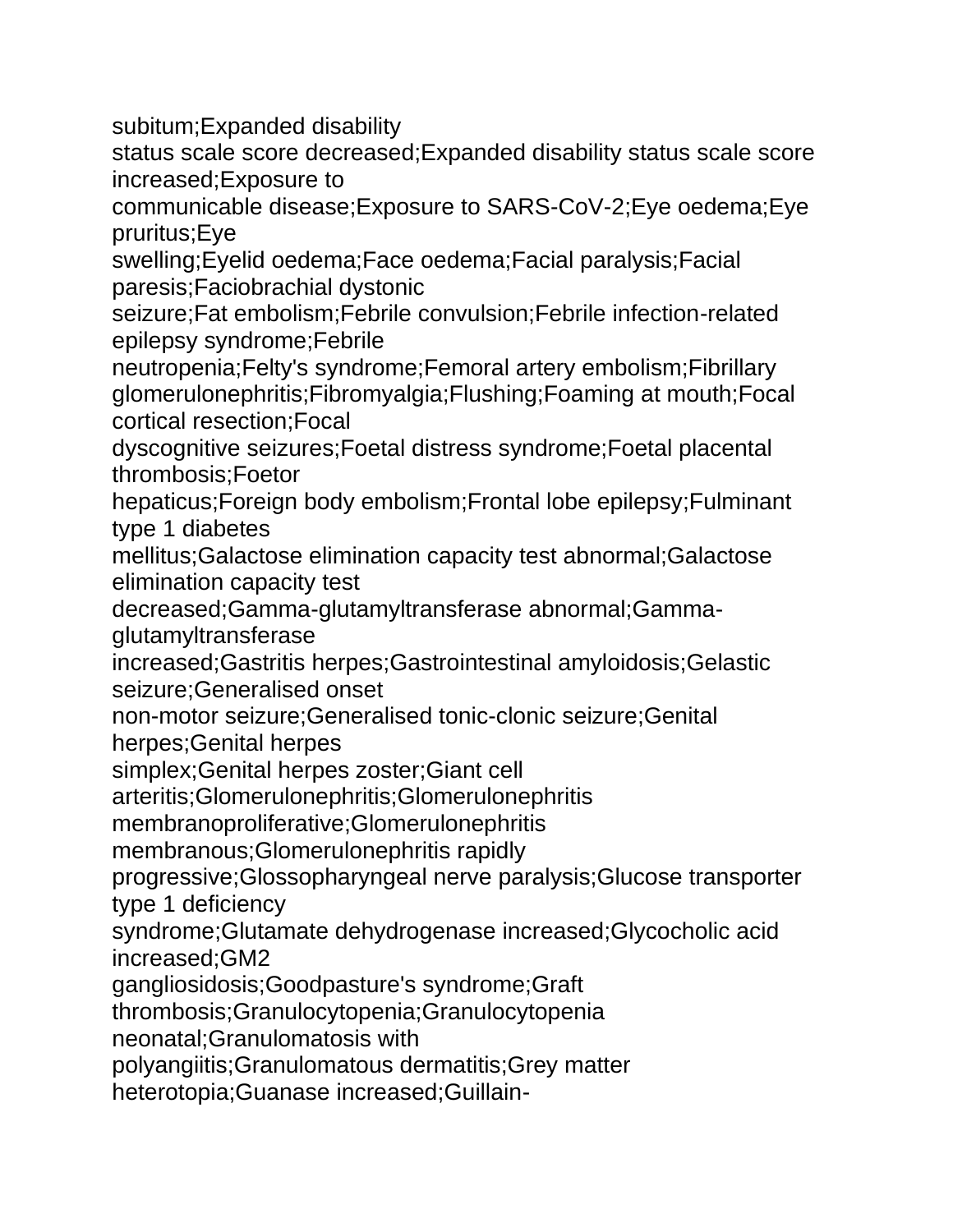subitum;Expanded disability

status scale score decreased;Expanded disability status scale score increased;Exposure to

communicable disease;Exposure to SARS-CoV-2;Eye oedema;Eye pruritus;Eye

swelling;Eyelid oedema;Face oedema;Facial paralysis;Facial paresis;Faciobrachial dystonic

seizure;Fat embolism;Febrile convulsion;Febrile infection-related epilepsy syndrome;Febrile

neutropenia;Felty's syndrome;Femoral artery embolism;Fibrillary glomerulonephritis;Fibromyalgia;Flushing;Foaming at mouth;Focal cortical resection;Focal

dyscognitive seizures;Foetal distress syndrome;Foetal placental thrombosis;Foetor

hepaticus;Foreign body embolism;Frontal lobe epilepsy;Fulminant type 1 diabetes

mellitus;Galactose elimination capacity test abnormal;Galactose elimination capacity test

decreased;Gamma-glutamyltransferase abnormal;Gammaglutamyltransferase

increased;Gastritis herpes;Gastrointestinal amyloidosis;Gelastic seizure;Generalised onset

non-motor seizure;Generalised tonic-clonic seizure;Genital herpes;Genital herpes

simplex;Genital herpes zoster;Giant cell

arteritis;Glomerulonephritis;Glomerulonephritis

membranoproliferative;Glomerulonephritis

membranous;Glomerulonephritis rapidly

progressive;Glossopharyngeal nerve paralysis;Glucose transporter type 1 deficiency

syndrome;Glutamate dehydrogenase increased;Glycocholic acid increased;GM2

gangliosidosis;Goodpasture's syndrome;Graft

thrombosis;Granulocytopenia;Granulocytopenia

neonatal;Granulomatosis with

polyangiitis;Granulomatous dermatitis;Grey matter

heterotopia;Guanase increased;Guillain-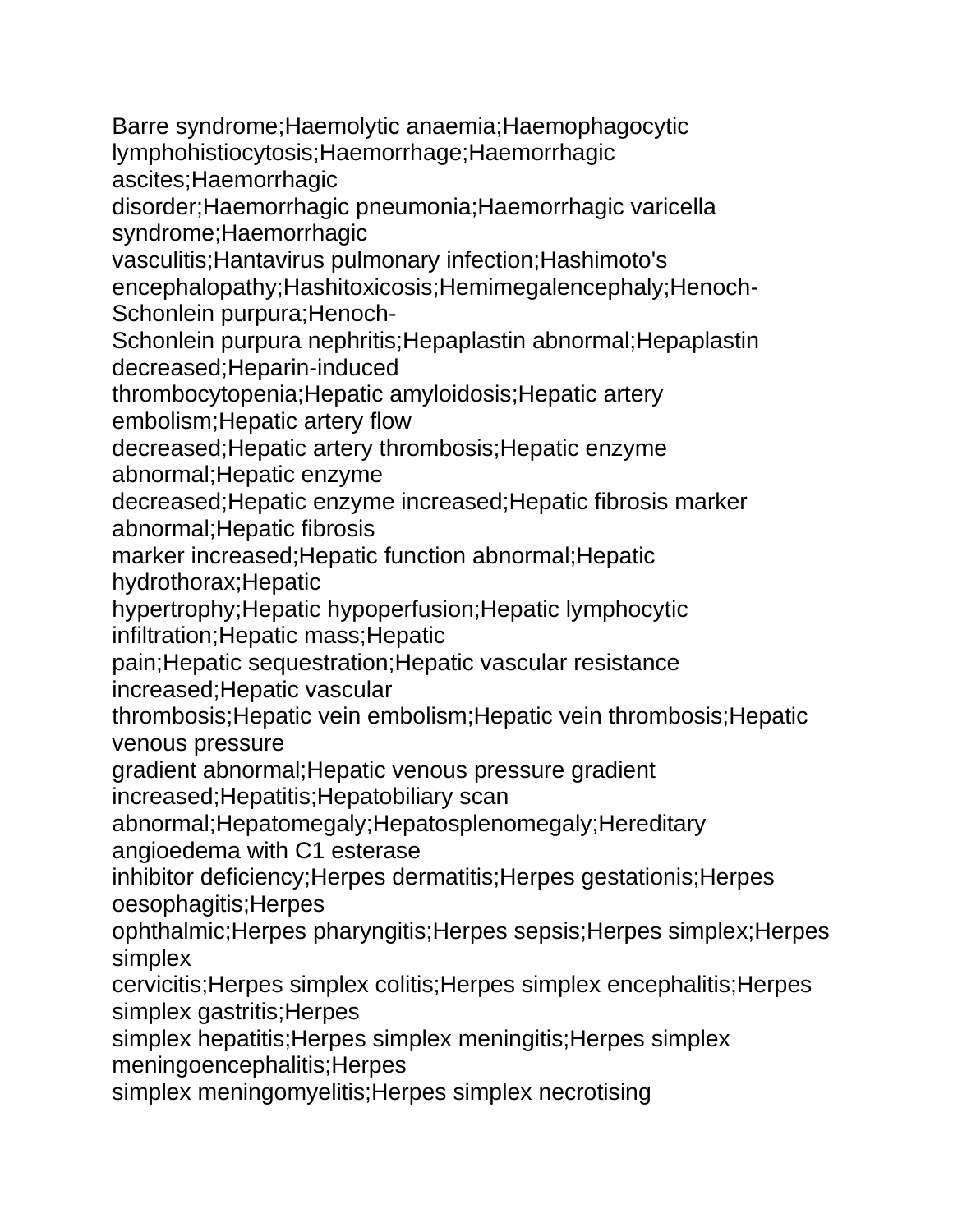Barre syndrome;Haemolytic anaemia;Haemophagocytic lymphohistiocytosis;Haemorrhage;Haemorrhagic ascites;Haemorrhagic disorder;Haemorrhagic pneumonia;Haemorrhagic varicella syndrome;Haemorrhagic vasculitis;Hantavirus pulmonary infection;Hashimoto's encephalopathy;Hashitoxicosis;Hemimegalencephaly;Henoch-Schonlein purpura;Henoch-Schonlein purpura nephritis;Hepaplastin abnormal;Hepaplastin decreased;Heparin-induced thrombocytopenia;Hepatic amyloidosis;Hepatic artery embolism;Hepatic artery flow decreased;Hepatic artery thrombosis;Hepatic enzyme abnormal;Hepatic enzyme decreased;Hepatic enzyme increased;Hepatic fibrosis marker abnormal;Hepatic fibrosis marker increased;Hepatic function abnormal;Hepatic hydrothorax;Hepatic hypertrophy;Hepatic hypoperfusion;Hepatic lymphocytic infiltration;Hepatic mass;Hepatic pain;Hepatic sequestration;Hepatic vascular resistance increased;Hepatic vascular thrombosis;Hepatic vein embolism;Hepatic vein thrombosis;Hepatic venous pressure gradient abnormal;Hepatic venous pressure gradient increased;Hepatitis;Hepatobiliary scan abnormal;Hepatomegaly;Hepatosplenomegaly;Hereditary angioedema with C1 esterase inhibitor deficiency;Herpes dermatitis;Herpes gestationis;Herpes oesophagitis;Herpes ophthalmic;Herpes pharyngitis;Herpes sepsis;Herpes simplex;Herpes simplex cervicitis;Herpes simplex colitis;Herpes simplex encephalitis;Herpes simplex gastritis; Herpes simplex hepatitis;Herpes simplex meningitis;Herpes simplex meningoencephalitis;Herpes

simplex meningomyelitis;Herpes simplex necrotising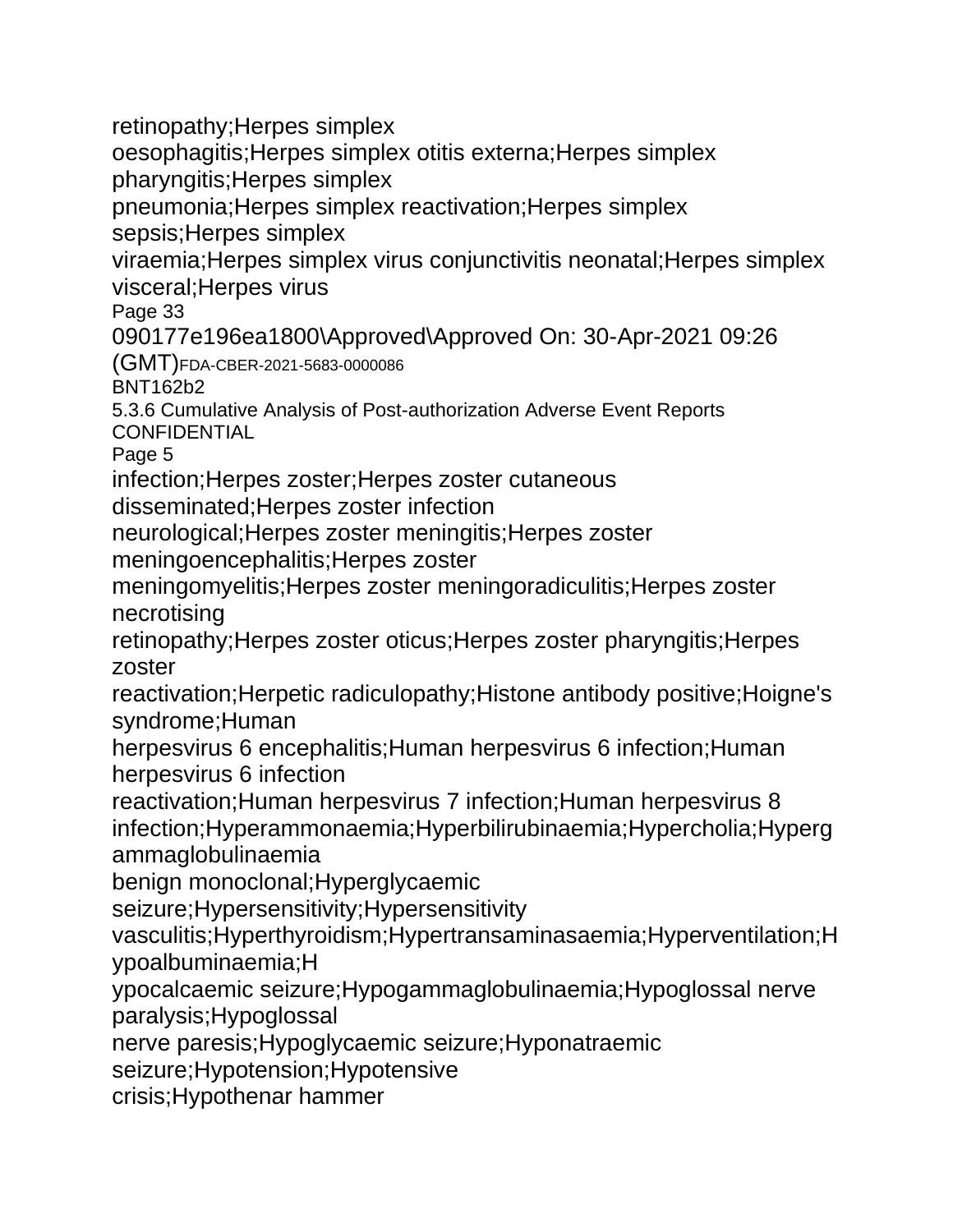retinopathy;Herpes simplex oesophagitis;Herpes simplex otitis externa;Herpes simplex pharyngitis;Herpes simplex pneumonia;Herpes simplex reactivation;Herpes simplex sepsis;Herpes simplex viraemia;Herpes simplex virus conjunctivitis neonatal;Herpes simplex visceral;Herpes virus Page 33 090177e196ea1800\Approved\Approved On: 30-Apr-2021 09:26 (GMT)FDA-CBER-2021-5683-0000086 BNT162b2 5.3.6 Cumulative Analysis of Post-authorization Adverse Event Reports **CONFIDENTIAL** Page 5 infection;Herpes zoster;Herpes zoster cutaneous disseminated;Herpes zoster infection neurological;Herpes zoster meningitis;Herpes zoster meningoencephalitis;Herpes zoster meningomyelitis;Herpes zoster meningoradiculitis;Herpes zoster necrotising retinopathy;Herpes zoster oticus;Herpes zoster pharyngitis;Herpes zoster reactivation;Herpetic radiculopathy;Histone antibody positive;Hoigne's syndrome;Human herpesvirus 6 encephalitis;Human herpesvirus 6 infection;Human herpesvirus 6 infection reactivation;Human herpesvirus 7 infection;Human herpesvirus 8 infection;Hyperammonaemia;Hyperbilirubinaemia;Hypercholia;Hyperg ammaglobulinaemia benign monoclonal;Hyperglycaemic seizure;Hypersensitivity;Hypersensitivity vasculitis;Hyperthyroidism;Hypertransaminasaemia;Hyperventilation;H ypoalbuminaemia;H ypocalcaemic seizure;Hypogammaglobulinaemia;Hypoglossal nerve paralysis;Hypoglossal nerve paresis;Hypoglycaemic seizure;Hyponatraemic seizure;Hypotension;Hypotensive crisis;Hypothenar hammer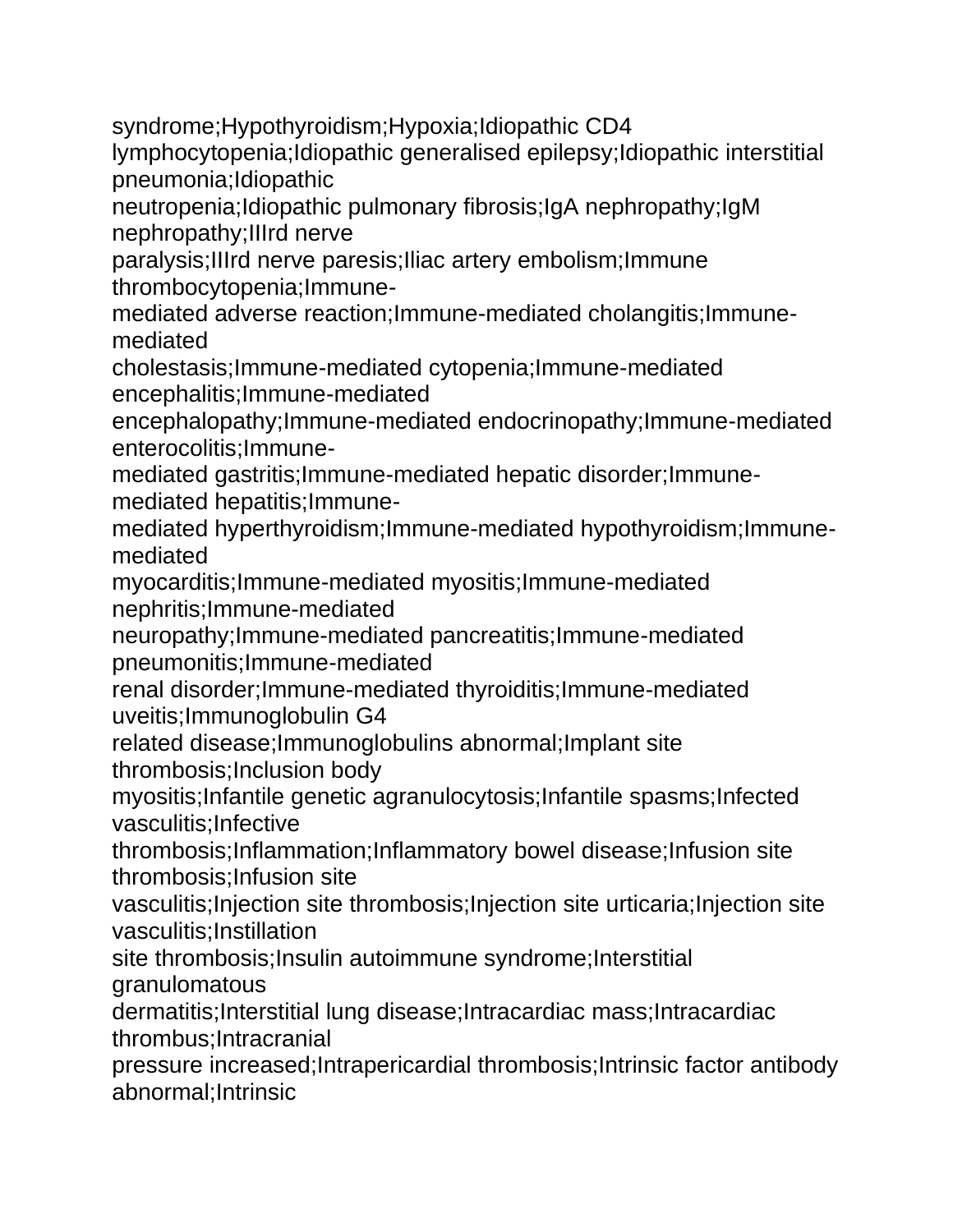syndrome;Hypothyroidism;Hypoxia;Idiopathic CD4

lymphocytopenia;Idiopathic generalised epilepsy;Idiopathic interstitial pneumonia;Idiopathic

neutropenia;Idiopathic pulmonary fibrosis;IgA nephropathy;IgM nephropathy;IIIrd nerve

paralysis;IIIrd nerve paresis;Iliac artery embolism;Immune thrombocytopenia;Immune-

mediated adverse reaction;Immune-mediated cholangitis;Immunemediated

cholestasis;Immune-mediated cytopenia;Immune-mediated encephalitis;Immune-mediated

encephalopathy;Immune-mediated endocrinopathy;Immune-mediated enterocolitis;Immune-

mediated gastritis;Immune-mediated hepatic disorder;Immunemediated hepatitis;Immune-

mediated hyperthyroidism;Immune-mediated hypothyroidism;Immunemediated

myocarditis;Immune-mediated myositis;Immune-mediated nephritis;Immune-mediated

neuropathy;Immune-mediated pancreatitis;Immune-mediated pneumonitis;Immune-mediated

renal disorder;Immune-mediated thyroiditis;Immune-mediated uveitis;Immunoglobulin G4

related disease;Immunoglobulins abnormal;Implant site thrombosis;Inclusion body

myositis;Infantile genetic agranulocytosis;Infantile spasms;Infected vasculitis;Infective

thrombosis;Inflammation;Inflammatory bowel disease;Infusion site thrombosis;Infusion site

vasculitis;Injection site thrombosis;Injection site urticaria;Injection site vasculitis;Instillation

site thrombosis;Insulin autoimmune syndrome;Interstitial granulomatous

dermatitis;Interstitial lung disease;Intracardiac mass;Intracardiac thrombus;Intracranial

pressure increased;Intrapericardial thrombosis;Intrinsic factor antibody abnormal;Intrinsic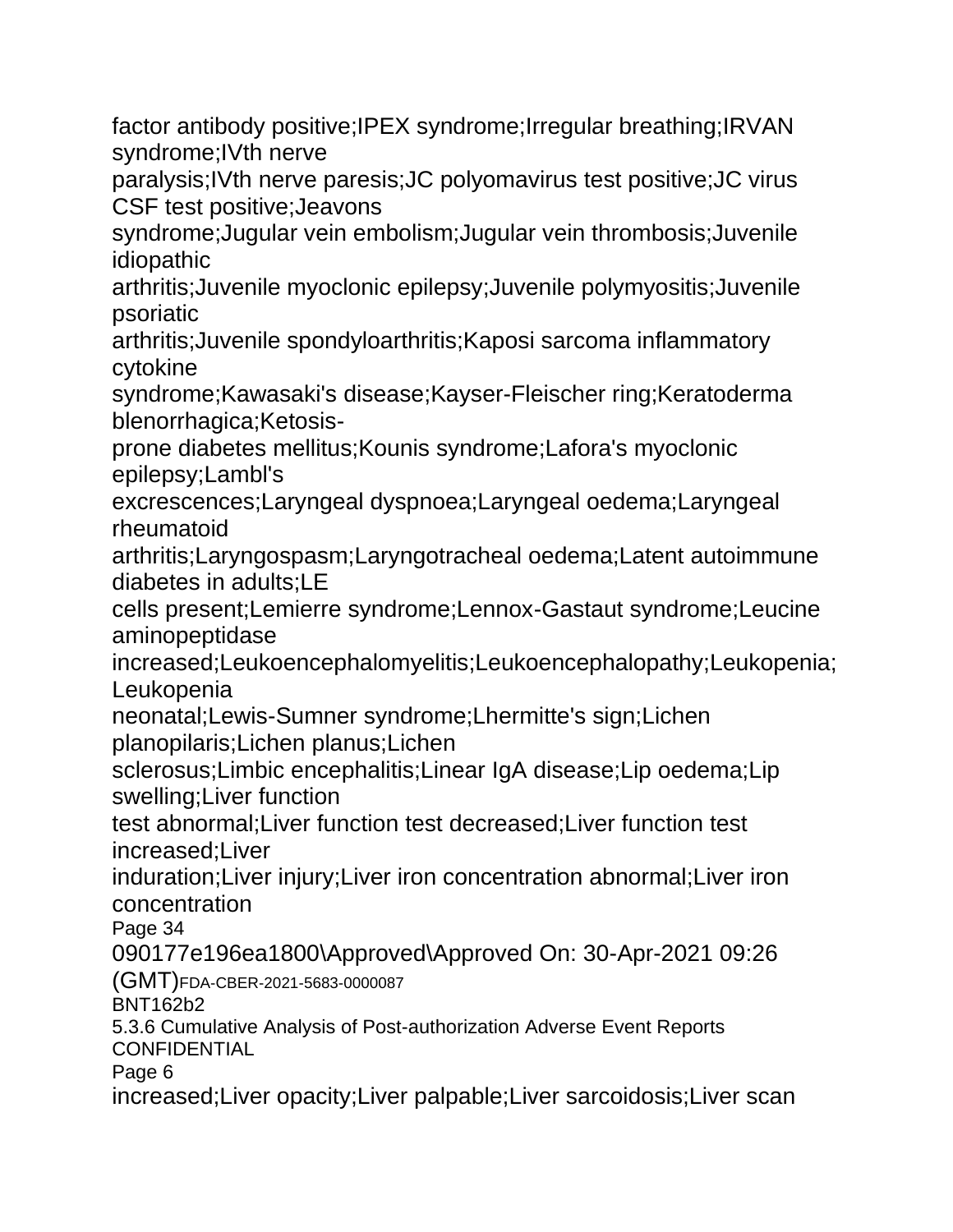factor antibody positive;IPEX syndrome;Irregular breathing;IRVAN syndrome;IVth nerve

paralysis;IVth nerve paresis;JC polyomavirus test positive;JC virus CSF test positive;Jeavons

syndrome;Jugular vein embolism;Jugular vein thrombosis;Juvenile idiopathic

arthritis;Juvenile myoclonic epilepsy;Juvenile polymyositis;Juvenile psoriatic

arthritis;Juvenile spondyloarthritis;Kaposi sarcoma inflammatory cytokine

syndrome;Kawasaki's disease;Kayser-Fleischer ring;Keratoderma blenorrhagica;Ketosis-

prone diabetes mellitus;Kounis syndrome;Lafora's myoclonic epilepsy;Lambl's

excrescences;Laryngeal dyspnoea;Laryngeal oedema;Laryngeal rheumatoid

arthritis;Laryngospasm;Laryngotracheal oedema;Latent autoimmune diabetes in adults;LE

cells present;Lemierre syndrome;Lennox-Gastaut syndrome;Leucine aminopeptidase

increased;Leukoencephalomyelitis;Leukoencephalopathy;Leukopenia; Leukopenia

neonatal;Lewis-Sumner syndrome;Lhermitte's sign;Lichen planopilaris;Lichen planus;Lichen

sclerosus;Limbic encephalitis;Linear IgA disease;Lip oedema;Lip swelling;Liver function

test abnormal;Liver function test decreased;Liver function test increased;Liver

induration;Liver injury;Liver iron concentration abnormal;Liver iron concentration

Page 34

090177e196ea1800\Approved\Approved On: 30-Apr-2021 09:26 (GMT)FDA-CBER-2021-5683-0000087

BNT162b2

5.3.6 Cumulative Analysis of Post-authorization Adverse Event Reports **CONFIDENTIAL** 

Page 6

increased;Liver opacity;Liver palpable;Liver sarcoidosis;Liver scan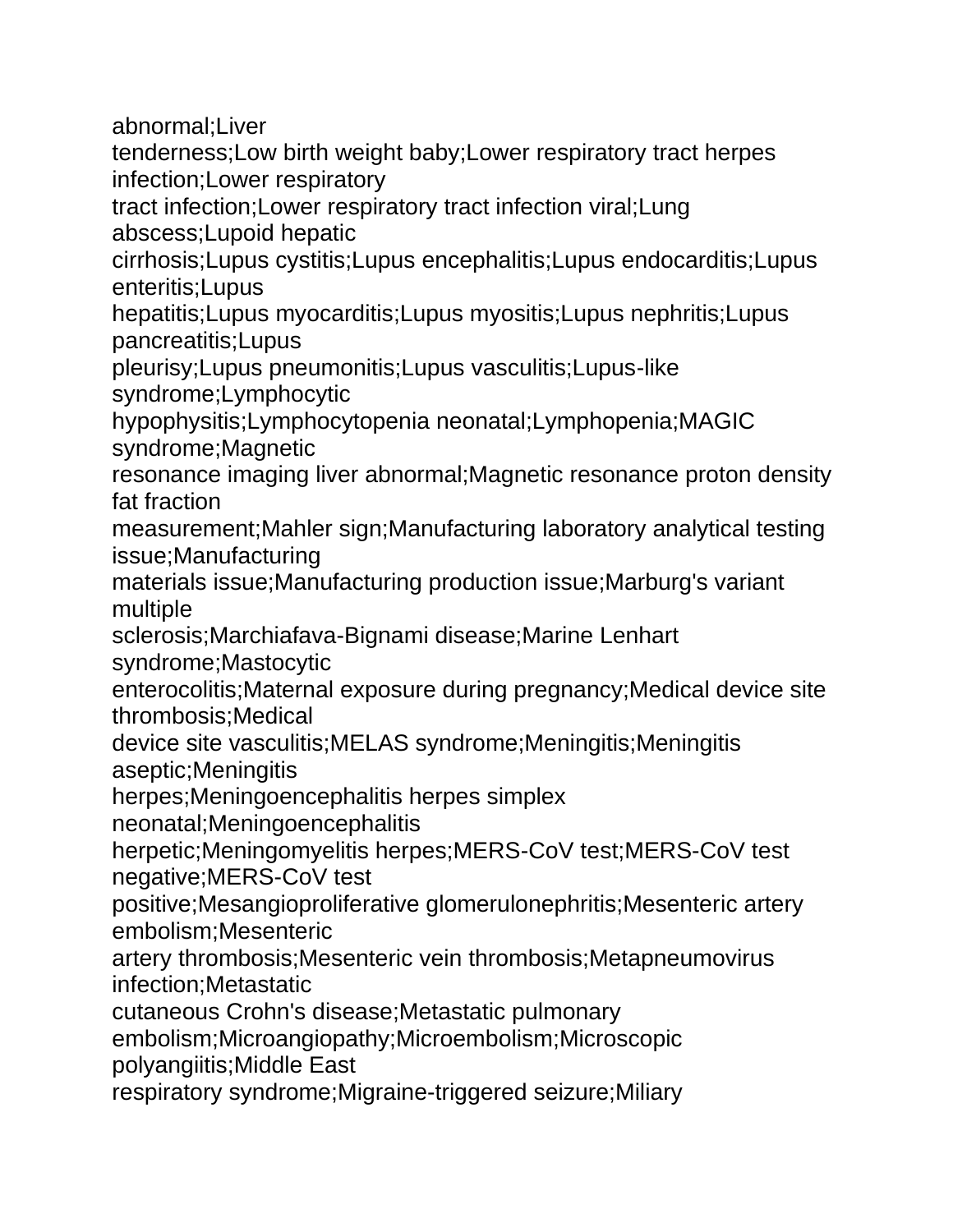abnormal;Liver

tenderness;Low birth weight baby;Lower respiratory tract herpes infection;Lower respiratory

tract infection;Lower respiratory tract infection viral;Lung abscess;Lupoid hepatic

cirrhosis;Lupus cystitis;Lupus encephalitis;Lupus endocarditis;Lupus enteritis;Lupus

hepatitis;Lupus myocarditis;Lupus myositis;Lupus nephritis;Lupus pancreatitis;Lupus

pleurisy;Lupus pneumonitis;Lupus vasculitis;Lupus-like syndrome;Lymphocytic

hypophysitis;Lymphocytopenia neonatal;Lymphopenia;MAGIC syndrome;Magnetic

resonance imaging liver abnormal;Magnetic resonance proton density fat fraction

measurement;Mahler sign;Manufacturing laboratory analytical testing issue;Manufacturing

materials issue;Manufacturing production issue;Marburg's variant multiple

sclerosis;Marchiafava-Bignami disease;Marine Lenhart syndrome;Mastocytic

enterocolitis;Maternal exposure during pregnancy;Medical device site thrombosis;Medical

device site vasculitis;MELAS syndrome;Meningitis;Meningitis aseptic;Meningitis

herpes;Meningoencephalitis herpes simplex

neonatal;Meningoencephalitis

herpetic;Meningomyelitis herpes;MERS-CoV test;MERS-CoV test negative;MERS-CoV test

positive;Mesangioproliferative glomerulonephritis;Mesenteric artery embolism;Mesenteric

artery thrombosis;Mesenteric vein thrombosis;Metapneumovirus infection;Metastatic

cutaneous Crohn's disease;Metastatic pulmonary

embolism;Microangiopathy;Microembolism;Microscopic polyangiitis;Middle East

respiratory syndrome;Migraine-triggered seizure;Miliary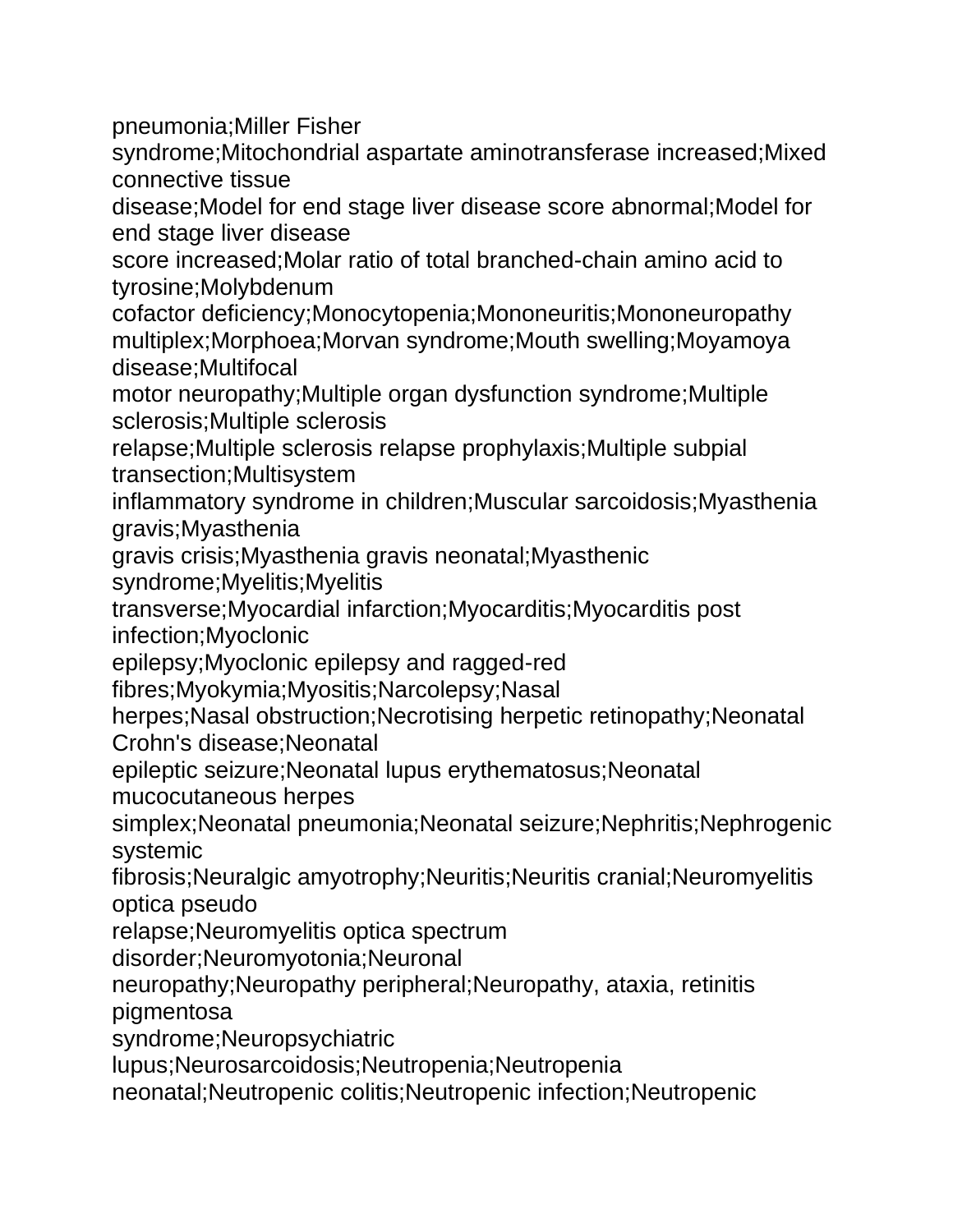pneumonia;Miller Fisher

syndrome;Mitochondrial aspartate aminotransferase increased;Mixed connective tissue

disease;Model for end stage liver disease score abnormal;Model for end stage liver disease

score increased;Molar ratio of total branched-chain amino acid to tyrosine;Molybdenum

cofactor deficiency;Monocytopenia;Mononeuritis;Mononeuropathy multiplex;Morphoea;Morvan syndrome;Mouth swelling;Moyamoya disease;Multifocal

motor neuropathy;Multiple organ dysfunction syndrome;Multiple sclerosis;Multiple sclerosis

relapse;Multiple sclerosis relapse prophylaxis;Multiple subpial transection;Multisystem

inflammatory syndrome in children;Muscular sarcoidosis;Myasthenia gravis;Myasthenia

gravis crisis;Myasthenia gravis neonatal;Myasthenic

syndrome;Myelitis;Myelitis

transverse;Myocardial infarction;Myocarditis;Myocarditis post infection;Myoclonic

epilepsy;Myoclonic epilepsy and ragged-red

fibres;Myokymia;Myositis;Narcolepsy;Nasal

herpes;Nasal obstruction;Necrotising herpetic retinopathy;Neonatal Crohn's disease;Neonatal

epileptic seizure;Neonatal lupus erythematosus;Neonatal

mucocutaneous herpes

simplex;Neonatal pneumonia;Neonatal seizure;Nephritis;Nephrogenic systemic

fibrosis;Neuralgic amyotrophy;Neuritis;Neuritis cranial;Neuromyelitis optica pseudo

relapse;Neuromyelitis optica spectrum

disorder;Neuromyotonia;Neuronal

neuropathy;Neuropathy peripheral;Neuropathy, ataxia, retinitis pigmentosa

syndrome;Neuropsychiatric

lupus;Neurosarcoidosis;Neutropenia;Neutropenia

neonatal;Neutropenic colitis;Neutropenic infection;Neutropenic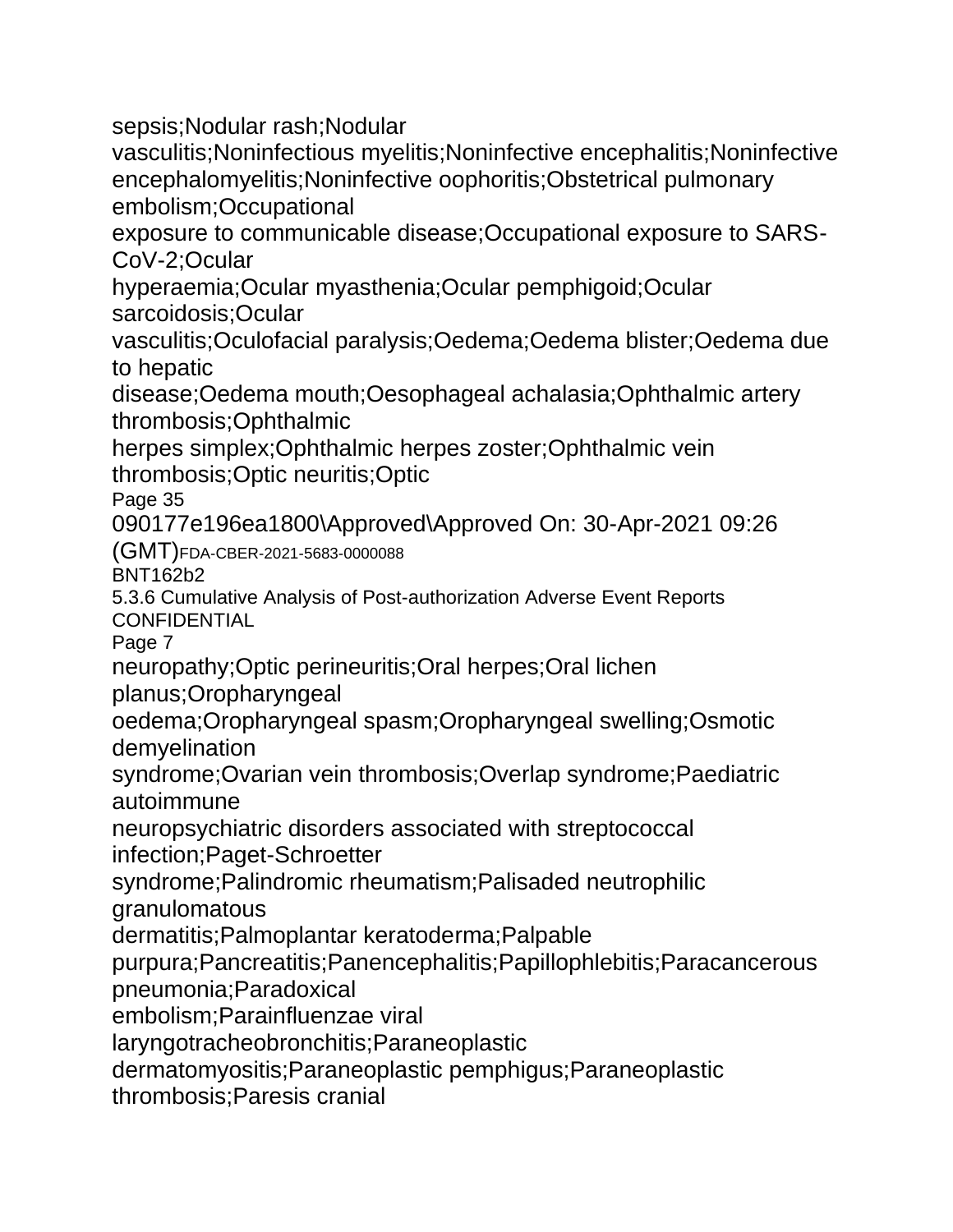sepsis;Nodular rash;Nodular

vasculitis;Noninfectious myelitis;Noninfective encephalitis;Noninfective encephalomyelitis;Noninfective oophoritis;Obstetrical pulmonary embolism;Occupational

exposure to communicable disease;Occupational exposure to SARS-CoV-2;Ocular

hyperaemia;Ocular myasthenia;Ocular pemphigoid;Ocular sarcoidosis;Ocular

vasculitis;Oculofacial paralysis;Oedema;Oedema blister;Oedema due to hepatic

disease;Oedema mouth;Oesophageal achalasia;Ophthalmic artery thrombosis;Ophthalmic

herpes simplex;Ophthalmic herpes zoster;Ophthalmic vein thrombosis;Optic neuritis;Optic

Page 35

090177e196ea1800\Approved\Approved On: 30-Apr-2021 09:26

(GMT)FDA-CBER-2021-5683-0000088

BNT162b2

5.3.6 Cumulative Analysis of Post-authorization Adverse Event Reports **CONFIDENTIAL** 

Page 7

neuropathy;Optic perineuritis;Oral herpes;Oral lichen

planus;Oropharyngeal

oedema;Oropharyngeal spasm;Oropharyngeal swelling;Osmotic demyelination

syndrome;Ovarian vein thrombosis;Overlap syndrome;Paediatric autoimmune

neuropsychiatric disorders associated with streptococcal

infection;Paget-Schroetter

syndrome;Palindromic rheumatism;Palisaded neutrophilic granulomatous

dermatitis;Palmoplantar keratoderma;Palpable

purpura;Pancreatitis;Panencephalitis;Papillophlebitis;Paracancerous pneumonia;Paradoxical

embolism;Parainfluenzae viral

laryngotracheobronchitis;Paraneoplastic

dermatomyositis;Paraneoplastic pemphigus;Paraneoplastic

thrombosis;Paresis cranial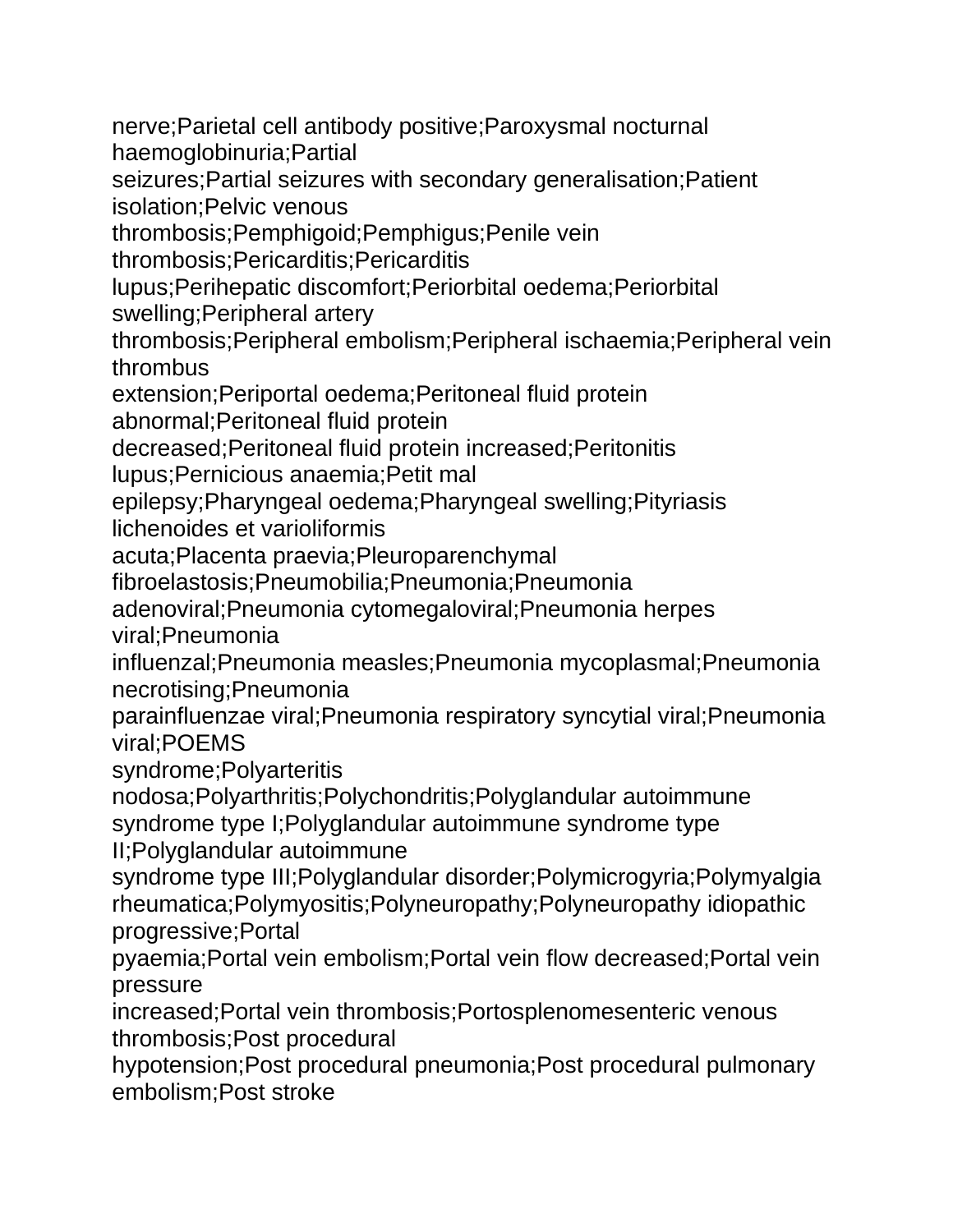nerve;Parietal cell antibody positive;Paroxysmal nocturnal haemoglobinuria;Partial

seizures;Partial seizures with secondary generalisation;Patient isolation;Pelvic venous

thrombosis;Pemphigoid;Pemphigus;Penile vein

thrombosis;Pericarditis;Pericarditis

lupus;Perihepatic discomfort;Periorbital oedema;Periorbital swelling;Peripheral artery

thrombosis;Peripheral embolism;Peripheral ischaemia;Peripheral vein thrombus

extension;Periportal oedema;Peritoneal fluid protein

abnormal;Peritoneal fluid protein

decreased;Peritoneal fluid protein increased;Peritonitis

lupus;Pernicious anaemia;Petit mal

epilepsy;Pharyngeal oedema;Pharyngeal swelling;Pityriasis lichenoides et varioliformis

acuta;Placenta praevia;Pleuroparenchymal

fibroelastosis;Pneumobilia;Pneumonia;Pneumonia

adenoviral;Pneumonia cytomegaloviral;Pneumonia herpes viral;Pneumonia

influenzal;Pneumonia measles;Pneumonia mycoplasmal;Pneumonia necrotising;Pneumonia

parainfluenzae viral;Pneumonia respiratory syncytial viral;Pneumonia viral;POEMS

syndrome;Polyarteritis

nodosa;Polyarthritis;Polychondritis;Polyglandular autoimmune syndrome type I;Polyglandular autoimmune syndrome type II;Polyglandular autoimmune

syndrome type III;Polyglandular disorder;Polymicrogyria;Polymyalgia rheumatica;Polymyositis;Polyneuropathy;Polyneuropathy idiopathic progressive;Portal

pyaemia;Portal vein embolism;Portal vein flow decreased;Portal vein pressure

increased;Portal vein thrombosis;Portosplenomesenteric venous thrombosis;Post procedural

hypotension;Post procedural pneumonia;Post procedural pulmonary embolism;Post stroke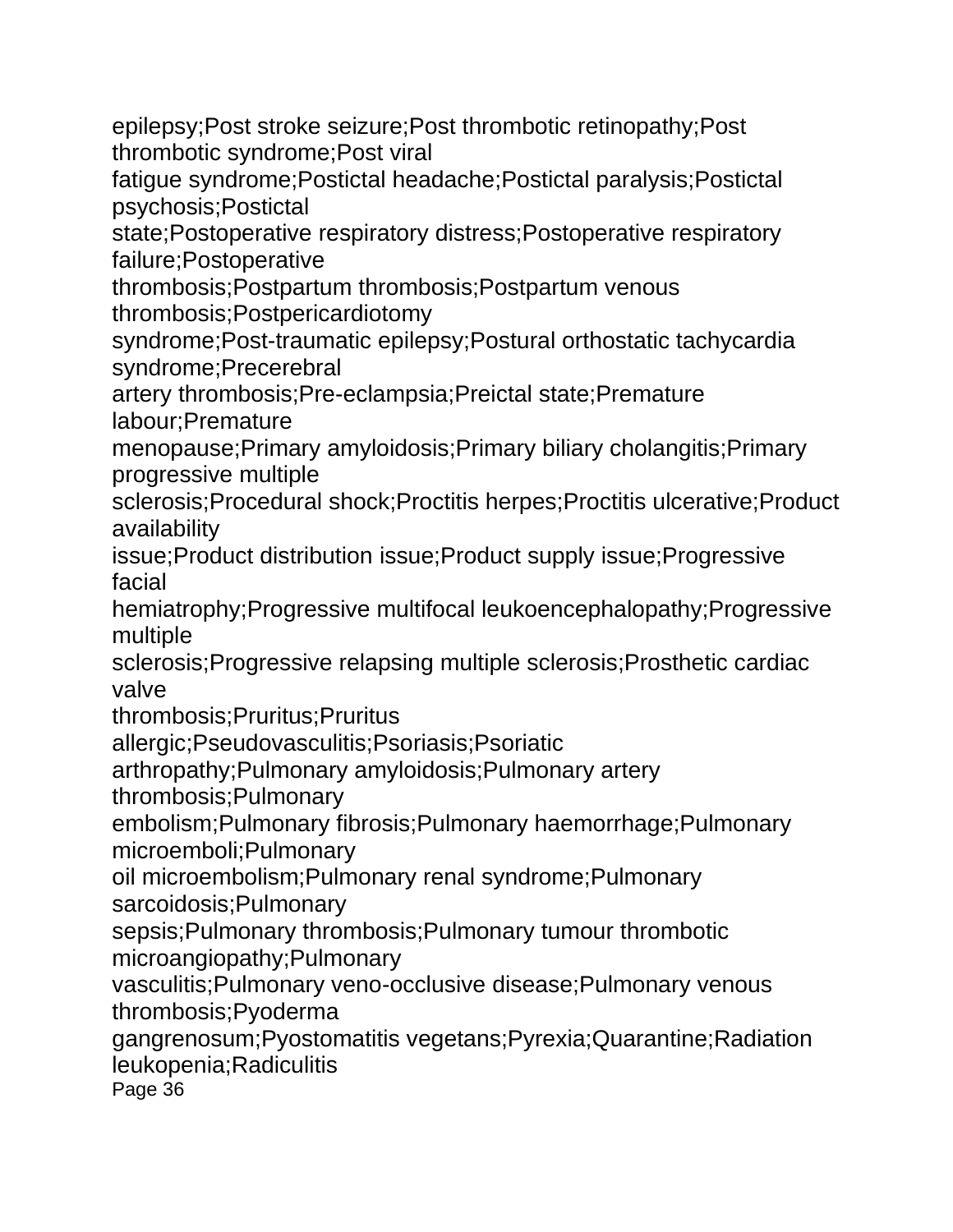epilepsy;Post stroke seizure;Post thrombotic retinopathy;Post thrombotic syndrome;Post viral

fatigue syndrome;Postictal headache;Postictal paralysis;Postictal psychosis;Postictal

state;Postoperative respiratory distress;Postoperative respiratory failure;Postoperative

thrombosis;Postpartum thrombosis;Postpartum venous thrombosis;Postpericardiotomy

syndrome;Post-traumatic epilepsy;Postural orthostatic tachycardia syndrome;Precerebral

artery thrombosis;Pre-eclampsia;Preictal state;Premature labour;Premature

menopause;Primary amyloidosis;Primary biliary cholangitis;Primary progressive multiple

sclerosis;Procedural shock;Proctitis herpes;Proctitis ulcerative;Product availability

issue;Product distribution issue;Product supply issue;Progressive facial

hemiatrophy;Progressive multifocal leukoencephalopathy;Progressive multiple

sclerosis;Progressive relapsing multiple sclerosis;Prosthetic cardiac valve

thrombosis;Pruritus;Pruritus

allergic;Pseudovasculitis;Psoriasis;Psoriatic

arthropathy;Pulmonary amyloidosis;Pulmonary artery

thrombosis;Pulmonary

embolism;Pulmonary fibrosis;Pulmonary haemorrhage;Pulmonary microemboli;Pulmonary

oil microembolism;Pulmonary renal syndrome;Pulmonary sarcoidosis;Pulmonary

sepsis;Pulmonary thrombosis;Pulmonary tumour thrombotic microangiopathy;Pulmonary

vasculitis;Pulmonary veno-occlusive disease;Pulmonary venous thrombosis;Pyoderma

gangrenosum;Pyostomatitis vegetans;Pyrexia;Quarantine;Radiation leukopenia;Radiculitis

Page 36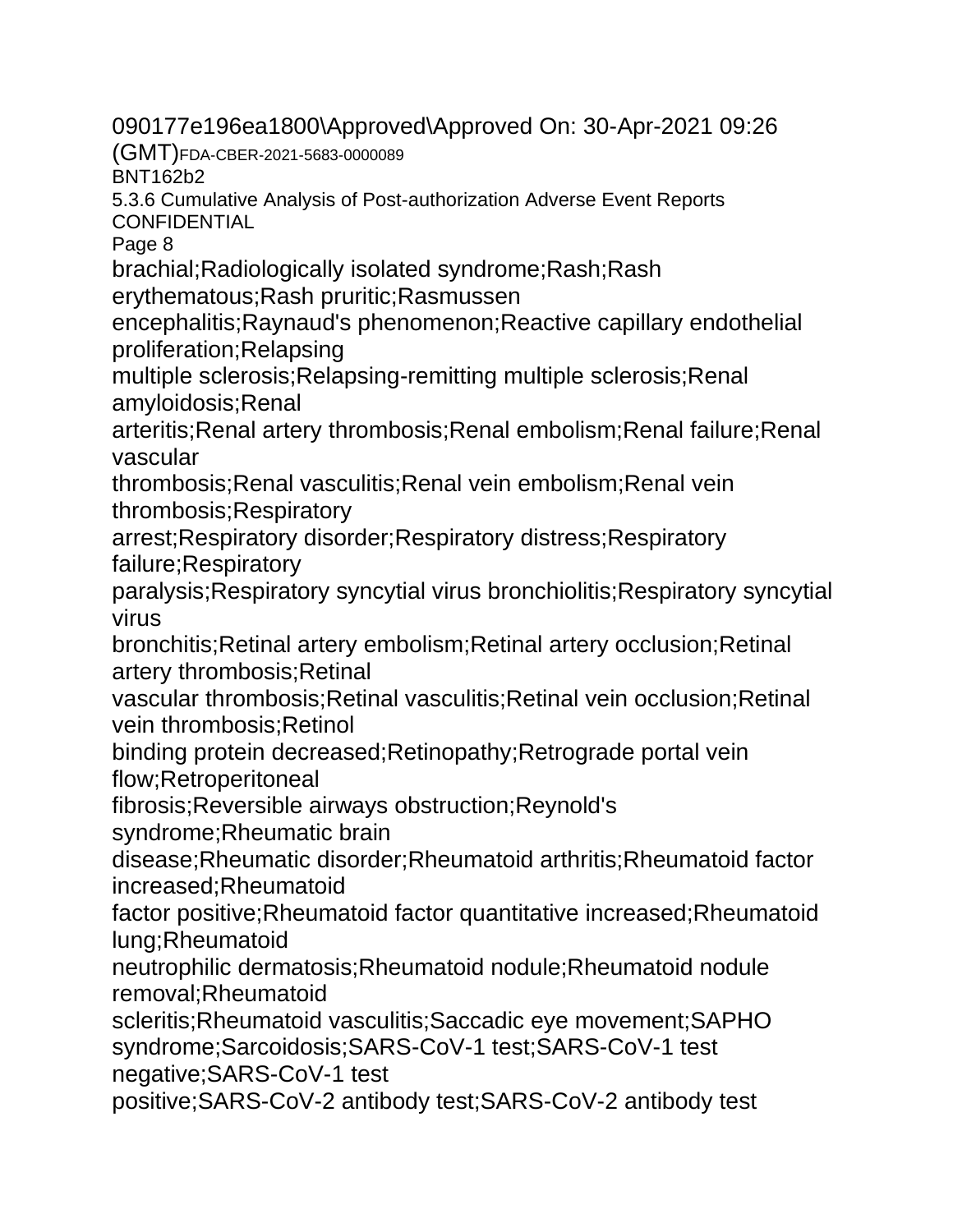090177e196ea1800\Approved\Approved On: 30-Apr-2021 09:26

(GMT)FDA-CBER-2021-5683-0000089

BNT162b2

5.3.6 Cumulative Analysis of Post-authorization Adverse Event Reports **CONFIDENTIAL** 

Page 8

brachial;Radiologically isolated syndrome;Rash;Rash

erythematous;Rash pruritic;Rasmussen

encephalitis;Raynaud's phenomenon;Reactive capillary endothelial proliferation;Relapsing

multiple sclerosis;Relapsing-remitting multiple sclerosis;Renal amyloidosis;Renal

arteritis;Renal artery thrombosis;Renal embolism;Renal failure;Renal vascular

thrombosis;Renal vasculitis;Renal vein embolism;Renal vein thrombosis;Respiratory

arrest;Respiratory disorder;Respiratory distress;Respiratory failure;Respiratory

paralysis;Respiratory syncytial virus bronchiolitis;Respiratory syncytial virus

bronchitis;Retinal artery embolism;Retinal artery occlusion;Retinal artery thrombosis;Retinal

vascular thrombosis;Retinal vasculitis;Retinal vein occlusion;Retinal vein thrombosis;Retinol

binding protein decreased;Retinopathy;Retrograde portal vein flow;Retroperitoneal

fibrosis;Reversible airways obstruction;Reynold's

syndrome;Rheumatic brain

disease;Rheumatic disorder;Rheumatoid arthritis;Rheumatoid factor increased;Rheumatoid

factor positive;Rheumatoid factor quantitative increased;Rheumatoid lung;Rheumatoid

neutrophilic dermatosis;Rheumatoid nodule;Rheumatoid nodule removal;Rheumatoid

scleritis;Rheumatoid vasculitis;Saccadic eye movement;SAPHO syndrome;Sarcoidosis;SARS-CoV-1 test;SARS-CoV-1 test negative;SARS-CoV-1 test

positive;SARS-CoV-2 antibody test;SARS-CoV-2 antibody test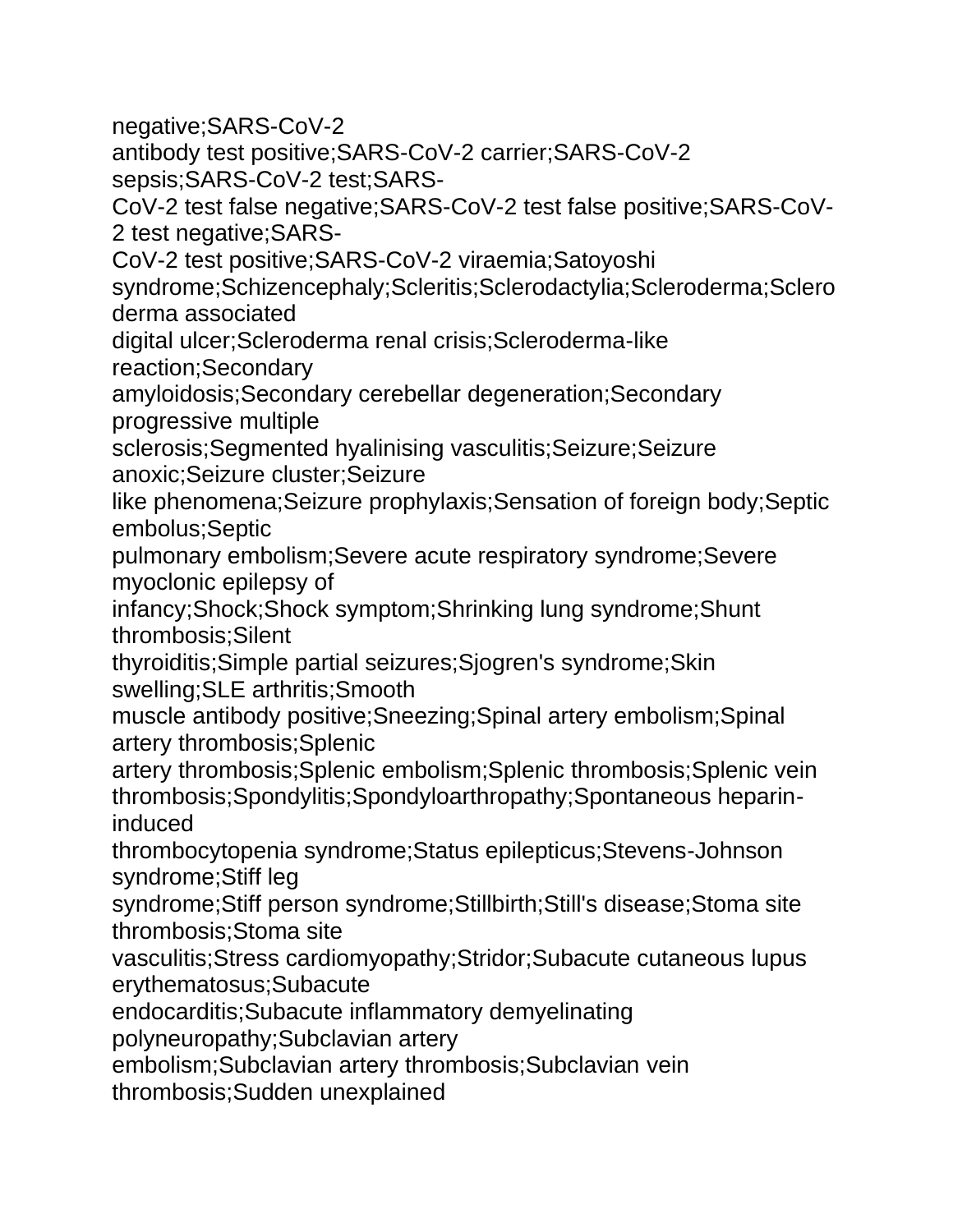negative;SARS-CoV-2

antibody test positive;SARS-CoV-2 carrier;SARS-CoV-2 sepsis;SARS-CoV-2 test;SARS-

CoV-2 test false negative;SARS-CoV-2 test false positive;SARS-CoV-2 test negative;SARS-

CoV-2 test positive;SARS-CoV-2 viraemia;Satoyoshi

syndrome;Schizencephaly;Scleritis;Sclerodactylia;Scleroderma;Sclero derma associated

digital ulcer;Scleroderma renal crisis;Scleroderma-like reaction;Secondary

amyloidosis;Secondary cerebellar degeneration;Secondary progressive multiple

sclerosis;Segmented hyalinising vasculitis;Seizure;Seizure anoxic;Seizure cluster;Seizure

like phenomena;Seizure prophylaxis;Sensation of foreign body;Septic embolus;Septic

pulmonary embolism;Severe acute respiratory syndrome;Severe myoclonic epilepsy of

infancy;Shock;Shock symptom;Shrinking lung syndrome;Shunt thrombosis;Silent

thyroiditis;Simple partial seizures;Sjogren's syndrome;Skin swelling;SLE arthritis;Smooth

muscle antibody positive;Sneezing;Spinal artery embolism;Spinal artery thrombosis;Splenic

artery thrombosis;Splenic embolism;Splenic thrombosis;Splenic vein thrombosis;Spondylitis;Spondyloarthropathy;Spontaneous heparininduced

thrombocytopenia syndrome;Status epilepticus;Stevens-Johnson syndrome;Stiff leg

syndrome;Stiff person syndrome;Stillbirth;Still's disease;Stoma site thrombosis;Stoma site

vasculitis;Stress cardiomyopathy;Stridor;Subacute cutaneous lupus erythematosus;Subacute

endocarditis;Subacute inflammatory demyelinating

polyneuropathy;Subclavian artery

embolism;Subclavian artery thrombosis;Subclavian vein

thrombosis;Sudden unexplained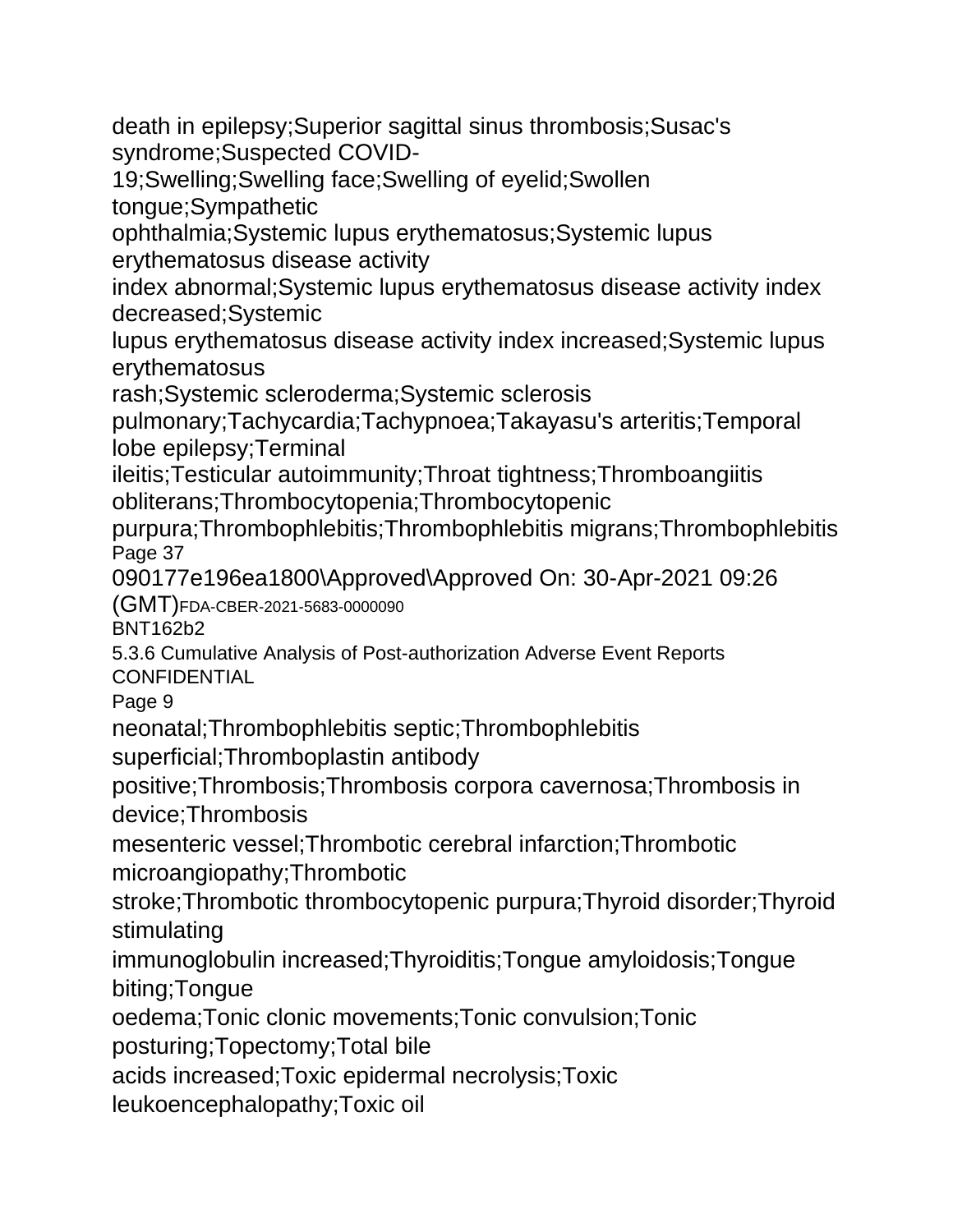death in epilepsy;Superior sagittal sinus thrombosis;Susac's syndrome;Suspected COVID-

19;Swelling;Swelling face;Swelling of eyelid;Swollen

tongue;Sympathetic

ophthalmia;Systemic lupus erythematosus;Systemic lupus erythematosus disease activity

index abnormal;Systemic lupus erythematosus disease activity index decreased;Systemic

lupus erythematosus disease activity index increased;Systemic lupus erythematosus

rash;Systemic scleroderma;Systemic sclerosis

pulmonary;Tachycardia;Tachypnoea;Takayasu's arteritis;Temporal lobe epilepsy;Terminal

ileitis;Testicular autoimmunity;Throat tightness;Thromboangiitis obliterans;Thrombocytopenia;Thrombocytopenic

purpura;Thrombophlebitis;Thrombophlebitis migrans;Thrombophlebitis Page 37

090177e196ea1800\Approved\Approved On: 30-Apr-2021 09:26

(GMT)FDA-CBER-2021-5683-0000090

BNT162b2

5.3.6 Cumulative Analysis of Post-authorization Adverse Event Reports **CONFIDENTIAL** 

Page 9

neonatal;Thrombophlebitis septic;Thrombophlebitis

superficial;Thromboplastin antibody

positive;Thrombosis;Thrombosis corpora cavernosa;Thrombosis in device;Thrombosis

mesenteric vessel;Thrombotic cerebral infarction;Thrombotic microangiopathy;Thrombotic

stroke;Thrombotic thrombocytopenic purpura;Thyroid disorder;Thyroid stimulating

immunoglobulin increased;Thyroiditis;Tongue amyloidosis;Tongue biting;Tongue

oedema;Tonic clonic movements;Tonic convulsion;Tonic

posturing;Topectomy;Total bile

acids increased;Toxic epidermal necrolysis;Toxic

leukoencephalopathy;Toxic oil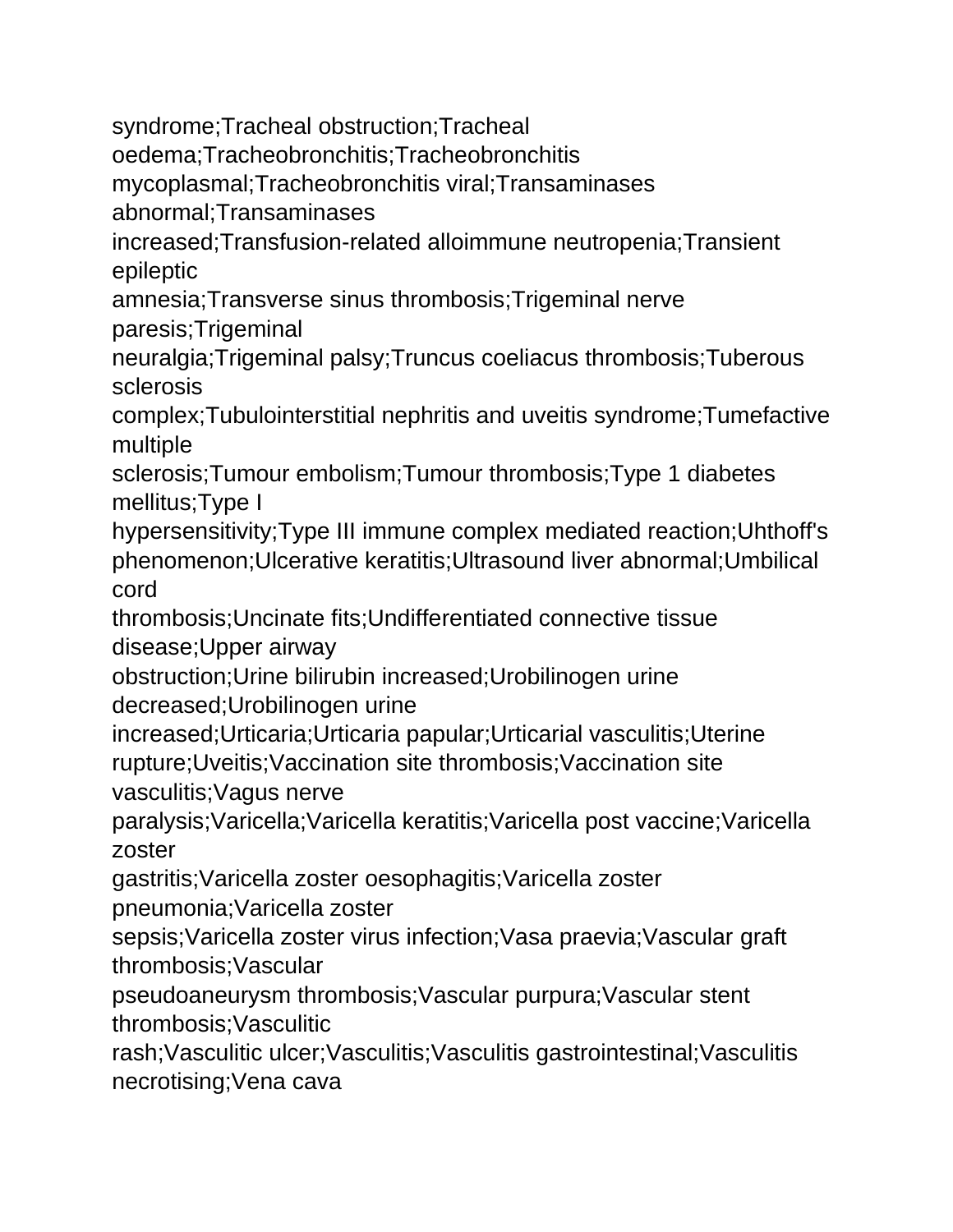syndrome;Tracheal obstruction;Tracheal

oedema;Tracheobronchitis;Tracheobronchitis

mycoplasmal;Tracheobronchitis viral;Transaminases

abnormal;Transaminases

increased;Transfusion-related alloimmune neutropenia;Transient epileptic

amnesia;Transverse sinus thrombosis;Trigeminal nerve paresis;Trigeminal

neuralgia;Trigeminal palsy;Truncus coeliacus thrombosis;Tuberous sclerosis

complex;Tubulointerstitial nephritis and uveitis syndrome;Tumefactive multiple

sclerosis;Tumour embolism;Tumour thrombosis;Type 1 diabetes mellitus;Type I

hypersensitivity;Type III immune complex mediated reaction;Uhthoff's phenomenon;Ulcerative keratitis;Ultrasound liver abnormal;Umbilical cord

thrombosis;Uncinate fits;Undifferentiated connective tissue disease;Upper airway

obstruction;Urine bilirubin increased;Urobilinogen urine decreased;Urobilinogen urine

increased;Urticaria;Urticaria papular;Urticarial vasculitis;Uterine rupture;Uveitis;Vaccination site thrombosis;Vaccination site

vasculitis;Vagus nerve

paralysis;Varicella;Varicella keratitis;Varicella post vaccine;Varicella zoster

gastritis;Varicella zoster oesophagitis;Varicella zoster

pneumonia;Varicella zoster

sepsis;Varicella zoster virus infection;Vasa praevia;Vascular graft thrombosis;Vascular

pseudoaneurysm thrombosis;Vascular purpura;Vascular stent thrombosis;Vasculitic

rash;Vasculitic ulcer;Vasculitis;Vasculitis gastrointestinal;Vasculitis necrotising;Vena cava